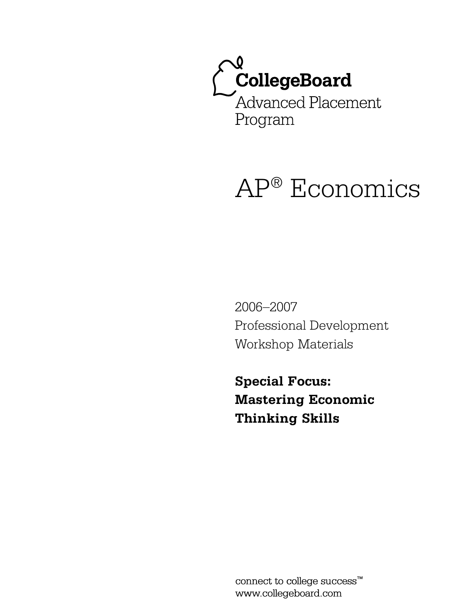

# AP® Economics

2006–2007 Professional Development Workshop Materials

**Special Focus: Mastering Economic Thinking Skills**

connect to college success™ www.collegeboard.com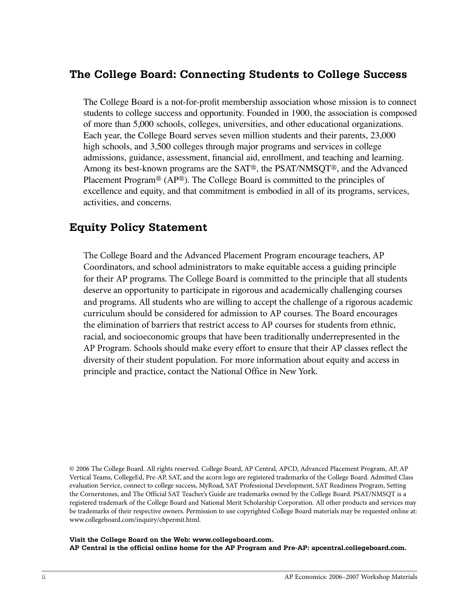# The College Board: Connecting Students to College Success

The College Board is a not-for-profit membership association whose mission is to connect students to college success and opportunity. Founded in 1900, the association is composed of more than 5,000 schools, colleges, universities, and other educational organizations. Each year, the College Board serves seven million students and their parents, 23,000 high schools, and 3,500 colleges through major programs and services in college admissions, guidance, assessment, financial aid, enrollment, and teaching and learning. Among its best-known programs are the SAT®, the PSAT/NMSQT®, and the Advanced Placement Program<sup>®</sup> (AP<sup>®</sup>). The College Board is committed to the principles of excellence and equity, and that commitment is embodied in all of its programs, services, activities, and concerns.

# **Equity Policy Statement**

The College Board and the Advanced Placement Program encourage teachers, AP Coordinators, and school administrators to make equitable access a guiding principle for their AP programs. The College Board is committed to the principle that all students deserve an opportunity to participate in rigorous and academically challenging courses and programs. All students who are willing to accept the challenge of a rigorous academic curriculum should be considered for admission to AP courses. The Board encourages the elimination of barriers that restrict access to AP courses for students from ethnic, racial, and socioeconomic groups that have been traditionally underrepresented in the AP Program. Schools should make every effort to ensure that their AP classes reflect the diversity of their student population. For more information about equity and access in principle and practice, contact the National Office in New York.

© 2006 The College Board. All rights reserved. College Board, AP Central, APCD, Advanced Placement Program, AP, AP Vertical Teams, CollegeEd, Pre-AP, SAT, and the acorn logo are registered trademarks of the College Board. Admitted Class evaluation Service, connect to college success, MyRoad, SAT Professional Development, SAT Readiness Program, Setting the Cornerstones, and The Official SAT Teacher's Guide are trademarks owned by the College Board. PSAT/NMSQT is a registered trademark of the College Board and National Merit Scholarship Corporation. All other products and services may be trademarks of their respective owners. Permission to use copyrighted College Board materials may be requested online at: www.collegeboard.com/inquiry/cbpermit.html.

Visit the College Board on the Web: www.collegeboard.com. AP Central is the official online home for the AP Program and Pre-AP: apcentral.collegeboard.com.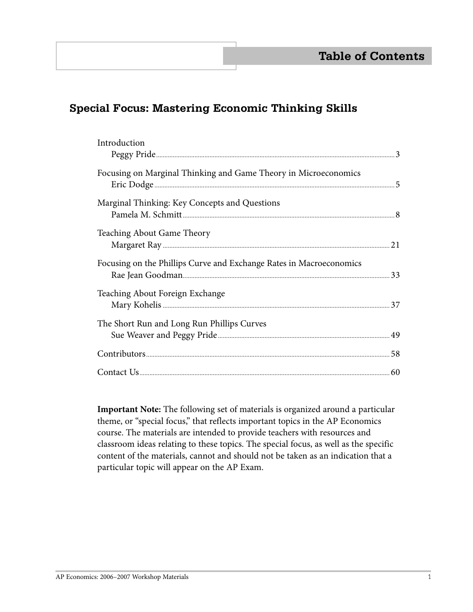# **Special Focus: Mastering Economic Thinking Skills**

| Introduction                                                                                                                                                                                                                   |  |
|--------------------------------------------------------------------------------------------------------------------------------------------------------------------------------------------------------------------------------|--|
| Focusing on Marginal Thinking and Game Theory in Microeconomics                                                                                                                                                                |  |
| Marginal Thinking: Key Concepts and Questions                                                                                                                                                                                  |  |
| <b>Teaching About Game Theory</b>                                                                                                                                                                                              |  |
| Focusing on the Phillips Curve and Exchange Rates in Macroeconomics                                                                                                                                                            |  |
| Teaching About Foreign Exchange                                                                                                                                                                                                |  |
| The Short Run and Long Run Phillips Curves                                                                                                                                                                                     |  |
| Example to the summarized the set of the set of the set of the set of the set of the set of the set of the set of the set of the set of the set of the set of the set of the set of the set of the set of the set of the set o |  |
|                                                                                                                                                                                                                                |  |

 **Important Note:** The following set of materials is organized around a particular theme, or "special focus," that reflects important topics in the AP Economics course. The materials are intended to provide teachers with resources and classroom ideas relating to these topics. The special focus, as well as the specific content of the materials, cannot and should not be taken as an indication that a particular topic will appear on the AP Exam.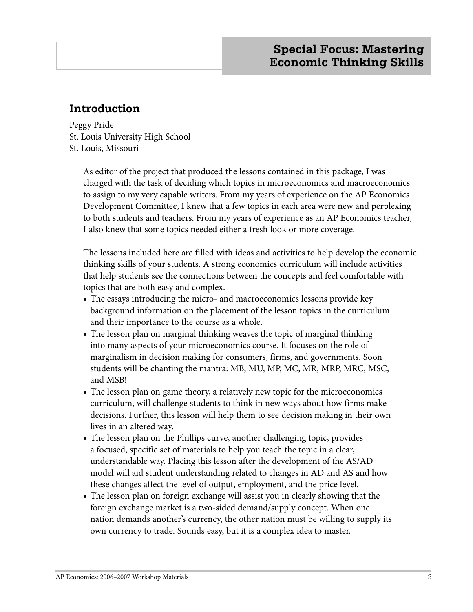# **Introduction**

Peggy Pride St. Louis University High School St. Louis, Missouri

> As editor of the project that produced the lessons contained in this package, I was charged with the task of deciding which topics in microeconomics and macroeconomics to assign to my very capable writers. From my years of experience on the AP Economics Development Committee, I knew that a few topics in each area were new and perplexing to both students and teachers. From my years of experience as an AP Economics teacher, I also knew that some topics needed either a fresh look or more coverage.

The lessons included here are filled with ideas and activities to help develop the economic thinking skills of your students. A strong economics curriculum will include activities that help students see the connections between the concepts and feel comfortable with topics that are both easy and complex.

- **•** The essays introducing the micro- and macroeconomics lessons provide key background information on the placement of the lesson topics in the curriculum and their importance to the course as a whole.
- **•** The lesson plan on marginal thinking weaves the topic of marginal thinking into many aspects of your microeconomics course. It focuses on the role of marginalism in decision making for consumers, firms, and governments. Soon students will be chanting the mantra: MB, MU, MP, MC, MR, MRP, MRC, MSC, and MSB!
- The lesson plan on game theory, a relatively new topic for the microeconomics curriculum, will challenge students to think in new ways about how firms make decisions. Further, this lesson will help them to see decision making in their own lives in an altered way.
- **•** The lesson plan on the Phillips curve, another challenging topic, provides a focused, specific set of materials to help you teach the topic in a clear, understandable way. Placing this lesson after the development of the AS/AD model will aid student understanding related to changes in AD and AS and how these changes affect the level of output, employment, and the price level.
- **•** The lesson plan on foreign exchange will assist you in clearly showing that the foreign exchange market is a two-sided demand/supply concept. When one nation demands another's currency, the other nation must be willing to supply its own currency to trade. Sounds easy, but it is a complex idea to master.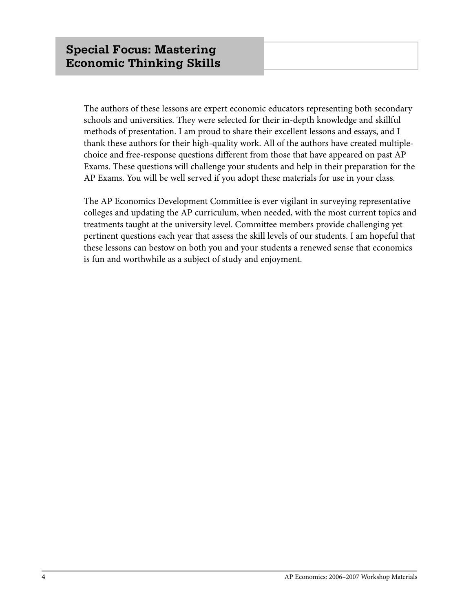The authors of these lessons are expert economic educators representing both secondary schools and universities. They were selected for their in-depth knowledge and skillful methods of presentation. I am proud to share their excellent lessons and essays, and I thank these authors for their high-quality work. All of the authors have created multiplechoice and free-response questions different from those that have appeared on past AP Exams. These questions will challenge your students and help in their preparation for the AP Exams. You will be well served if you adopt these materials for use in your class.

The AP Economics Development Committee is ever vigilant in surveying representative colleges and updating the AP curriculum, when needed, with the most current topics and treatments taught at the university level. Committee members provide challenging yet pertinent questions each year that assess the skill levels of our students. I am hopeful that these lessons can bestow on both you and your students a renewed sense that economics is fun and worthwhile as a subject of study and enjoyment.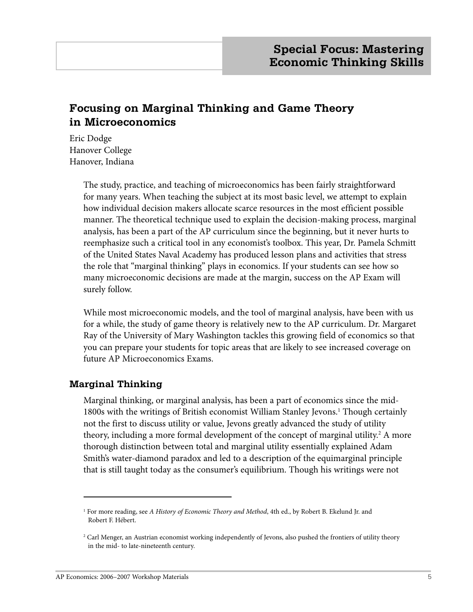# **Focusing on Marginal Thinking and Game Theory in Microeconomics**

Eric Dodge Hanover College Hanover, Indiana

> The study, practice, and teaching of microeconomics has been fairly straightforward for many years. When teaching the subject at its most basic level, we attempt to explain how individual decision makers allocate scarce resources in the most efficient possible manner. The theoretical technique used to explain the decision-making process, marginal analysis, has been a part of the AP curriculum since the beginning, but it never hurts to reemphasize such a critical tool in any economist's toolbox. This year, Dr. Pamela Schmitt of the United States Naval Academy has produced lesson plans and activities that stress the role that "marginal thinking" plays in economics. If your students can see how so many microeconomic decisions are made at the margin, success on the AP Exam will surely follow.

> While most microeconomic models, and the tool of marginal analysis, have been with us for a while, the study of game theory is relatively new to the AP curriculum. Dr. Margaret Ray of the University of Mary Washington tackles this growing field of economics so that you can prepare your students for topic areas that are likely to see increased coverage on future AP Microeconomics Exams.

## **Marginal Thinking**

Marginal thinking, or marginal analysis, has been a part of economics since the mid-1800s with the writings of British economist William Stanley Jevons.<sup>1</sup> Though certainly not the first to discuss utility or value, Jevons greatly advanced the study of utility theory, including a more formal development of the concept of marginal utility.<sup>2</sup> A more thorough distinction between total and marginal utility essentially explained Adam Smith's water-diamond paradox and led to a description of the equimarginal principle that is still taught today as the consumer's equilibrium. Though his writings were not

<sup>1</sup> For more reading, see *A History of Economic Theory and Method*, 4th ed., by Robert B. Ekelund Jr. and Robert F. Hébert.

<sup>2</sup> Carl Menger, an Austrian economist working independently of Jevons, also pushed the frontiers of utility theory in the mid- to late-nineteenth century.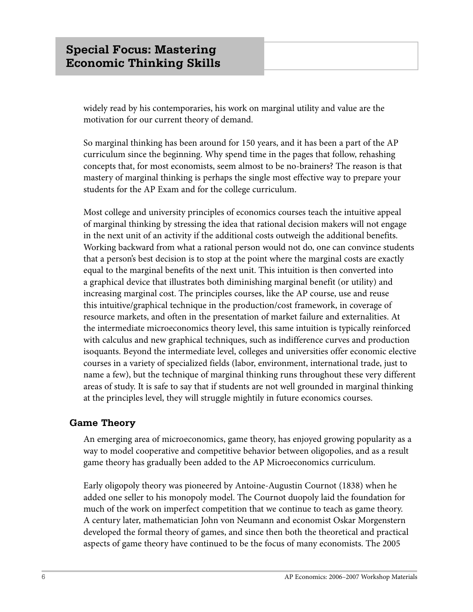widely read by his contemporaries, his work on marginal utility and value are the motivation for our current theory of demand.

So marginal thinking has been around for 150 years, and it has been a part of the AP curriculum since the beginning. Why spend time in the pages that follow, rehashing concepts that, for most economists, seem almost to be no-brainers? The reason is that mastery of marginal thinking is perhaps the single most effective way to prepare your students for the AP Exam and for the college curriculum.

Most college and university principles of economics courses teach the intuitive appeal of marginal thinking by stressing the idea that rational decision makers will not engage in the next unit of an activity if the additional costs outweigh the additional benefits. Working backward from what a rational person would not do, one can convince students that a person's best decision is to stop at the point where the marginal costs are exactly equal to the marginal benefits of the next unit. This intuition is then converted into a graphical device that illustrates both diminishing marginal benefit (or utility) and increasing marginal cost. The principles courses, like the AP course, use and reuse this intuitive/graphical technique in the production/cost framework, in coverage of resource markets, and often in the presentation of market failure and externalities. At the intermediate microeconomics theory level, this same intuition is typically reinforced with calculus and new graphical techniques, such as indifference curves and production isoquants. Beyond the intermediate level, colleges and universities offer economic elective courses in a variety of specialized fields (labor, environment, international trade, just to name a few), but the technique of marginal thinking runs throughout these very different areas of study. It is safe to say that if students are not well grounded in marginal thinking at the principles level, they will struggle mightily in future economics courses.

## **Game Theory**

An emerging area of microeconomics, game theory, has enjoyed growing popularity as a way to model cooperative and competitive behavior between oligopolies, and as a result game theory has gradually been added to the AP Microeconomics curriculum.

Early oligopoly theory was pioneered by Antoine-Augustin Cournot (1838) when he added one seller to his monopoly model. The Cournot duopoly laid the foundation for much of the work on imperfect competition that we continue to teach as game theory. A century later, mathematician John von Neumann and economist Oskar Morgenstern developed the formal theory of games, and since then both the theoretical and practical aspects of game theory have continued to be the focus of many economists. The 2005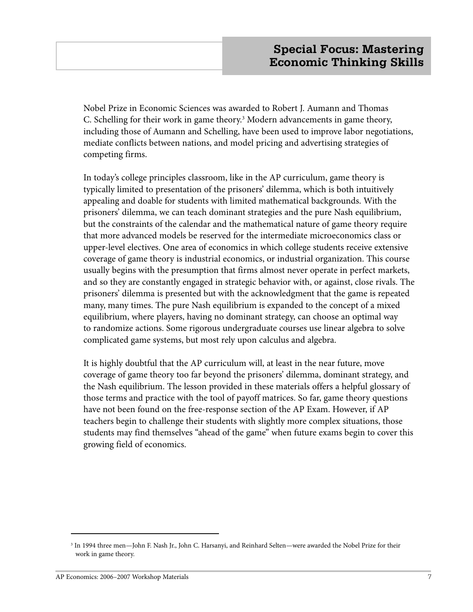Nobel Prize in Economic Sciences was awarded to Robert J. Aumann and Thomas C. Schelling for their work in game theory.<sup>3</sup> Modern advancements in game theory, including those of Aumann and Schelling, have been used to improve labor negotiations, mediate conflicts between nations, and model pricing and advertising strategies of competing firms.

In today's college principles classroom, like in the AP curriculum, game theory is typically limited to presentation of the prisoners' dilemma, which is both intuitively appealing and doable for students with limited mathematical backgrounds. With the prisoners' dilemma, we can teach dominant strategies and the pure Nash equilibrium, but the constraints of the calendar and the mathematical nature of game theory require that more advanced models be reserved for the intermediate microeconomics class or upper-level electives. One area of economics in which college students receive extensive coverage of game theory is industrial economics, or industrial organization. This course usually begins with the presumption that firms almost never operate in perfect markets, and so they are constantly engaged in strategic behavior with, or against, close rivals. The prisoners' dilemma is presented but with the acknowledgment that the game is repeated many, many times. The pure Nash equilibrium is expanded to the concept of a mixed equilibrium, where players, having no dominant strategy, can choose an optimal way to randomize actions. Some rigorous undergraduate courses use linear algebra to solve complicated game systems, but most rely upon calculus and algebra.

It is highly doubtful that the AP curriculum will, at least in the near future, move coverage of game theory too far beyond the prisoners' dilemma, dominant strategy, and the Nash equilibrium. The lesson provided in these materials offers a helpful glossary of those terms and practice with the tool of payoff matrices. So far, game theory questions have not been found on the free-response section of the AP Exam. However, if AP teachers begin to challenge their students with slightly more complex situations, those students may find themselves "ahead of the game" when future exams begin to cover this growing field of economics.

<sup>3</sup> In 1994 three men—John F. Nash Jr., John C. Harsanyi, and Reinhard Selten—were awarded the Nobel Prize for their work in game theory.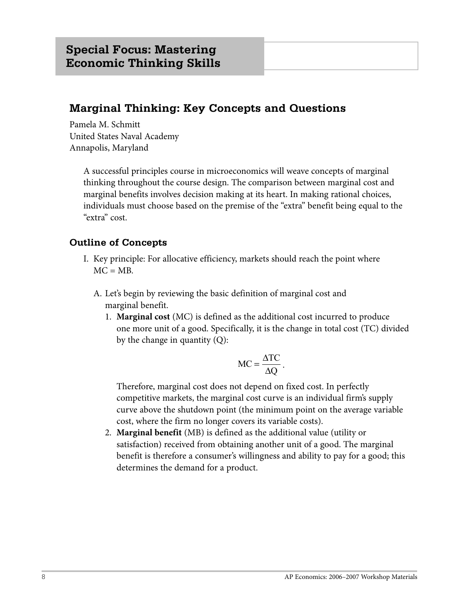# **Marginal Thinking: Key Concepts and Questions**

Pamela M. Schmitt United States Naval Academy Annapolis, Maryland

> A successful principles course in microeconomics will weave concepts of marginal thinking throughout the course design. The comparison between marginal cost and marginal benefits involves decision making at its heart. In making rational choices, individuals must choose based on the premise of the "extra" benefit being equal to the "extra" cost.

## **Outline of Concepts**

- I. Key principle: For allocative efficiency, markets should reach the point where  $MC = MB$ .
	- A. Let's begin by reviewing the basic definition of marginal cost and marginal benefit.
		- 1. **Marginal cost** (MC) is defined as the additional cost incurred to produce one more unit of a good. Specifically, it is the change in total cost (TC) divided by the change in quantity (Q):

$$
MC = \frac{\Delta TC}{\Delta Q}.
$$

 Therefore, marginal cost does not depend on fixed cost. In perfectly competitive markets, the marginal cost curve is an individual firm's supply curve above the shutdown point (the minimum point on the average variable cost, where the firm no longer covers its variable costs).

 2. **Marginal benefit** (MB) is defined as the additional value (utility or satisfaction) received from obtaining another unit of a good. The marginal benefit is therefore a consumer's willingness and ability to pay for a good; this determines the demand for a product.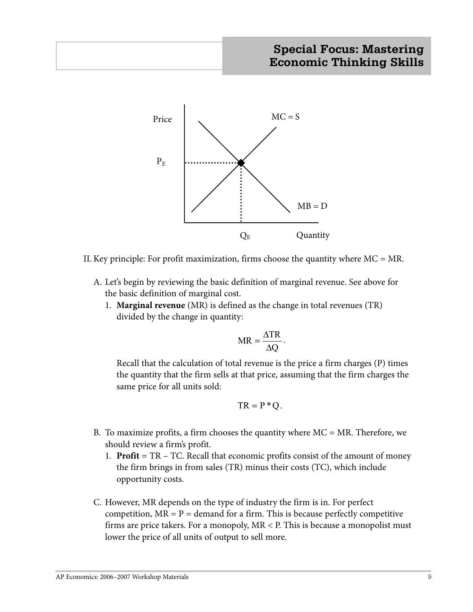

II. Key principle: For profit maximization, firms choose the quantity where  $MC = MR$ .

- A. Let's begin by reviewing the basic definition of marginal revenue. See above for the basic definition of marginal cost.
	- 1. **Marginal revenue** (MR) is defined as the change in total revenues (TR) divided by the change in quantity:

$$
MR = \frac{\Delta TR}{\Delta Q}.
$$

 Recall that the calculation of total revenue is the price a firm charges (P) times the quantity that the firm sells at that price, assuming that the firm charges the same price for all units sold:

$$
TR = P^*Q.
$$

- B. To maximize profits, a firm chooses the quantity where  $MC = MR$ . Therefore, we should review a firm's profit.
	- 1. **Profit** = TR TC. Recall that economic profits consist of the amount of money the firm brings in from sales (TR) minus their costs (TC), which include opportunity costs.
- C. However, MR depends on the type of industry the firm is in. For perfect competition,  $MR = P =$  demand for a firm. This is because perfectly competitive firms are price takers. For a monopoly, MR < P. This is because a monopolist must lower the price of all units of output to sell more.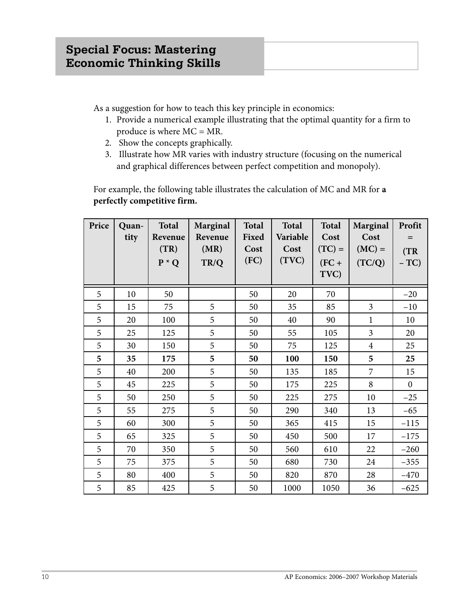As a suggestion for how to teach this key principle in economics:

- 1. Provide a numerical example illustrating that the optimal quantity for a firm to produce is where MC = MR.
- 2. Show the concepts graphically.
- 3. Illustrate how MR varies with industry structure (focusing on the numerical and graphical differences between perfect competition and monopoly).

 For example, the following table illustrates the calculation of MC and MR for **a perfectly competitive firm.**

| Price | Quan- | <b>Total</b>               | Marginal                | <b>Total</b>          | <b>Total</b>              | Total                       | Marginal                   | Profit        |
|-------|-------|----------------------------|-------------------------|-----------------------|---------------------------|-----------------------------|----------------------------|---------------|
|       | tity  | Revenue<br>(TR)<br>$P * Q$ | Revenue<br>(MR)<br>TR/Q | Fixed<br>Cost<br>(FC) | Variable<br>Cost<br>(TVC) | Cost<br>$(TC) =$<br>$(FC +$ | Cost<br>$(MC) =$<br>(TC/Q) | (TR)<br>$-TC$ |
|       |       |                            |                         |                       |                           | TVC)                        |                            |               |
| 5     | 10    | 50                         |                         | 50                    | 20                        | 70                          |                            | $-20$         |
| 5     | 15    | 75                         | 5                       | 50                    | 35                        | 85                          | 3                          | $-10$         |
| 5     | 20    | 100                        | 5                       | 50                    | 40                        | 90                          | $\mathbf{1}$               | 10            |
| 5     | 25    | 125                        | 5                       | 50                    | 55                        | 105                         | 3                          | 20            |
| 5     | 30    | 150                        | 5                       | 50                    | 75                        | 125                         | $\overline{4}$             | 25            |
| 5     | 35    | 175                        | 5                       | 50                    | 100                       | 150                         | 5                          | 25            |
| 5     | 40    | 200                        | 5                       | 50                    | 135                       | 185                         | $\overline{7}$             | 15            |
| 5     | 45    | 225                        | 5                       | 50                    | 175                       | 225                         | 8                          | $\mathbf{0}$  |
| 5     | 50    | 250                        | 5                       | 50                    | 225                       | 275                         | 10                         | $-25$         |
| 5     | 55    | 275                        | 5                       | 50                    | 290                       | 340                         | 13                         | $-65$         |
| 5     | 60    | 300                        | 5                       | 50                    | 365                       | 415                         | 15                         | $-115$        |
| 5     | 65    | 325                        | 5                       | 50                    | 450                       | 500                         | 17                         | $-175$        |
| 5     | 70    | 350                        | 5                       | 50                    | 560                       | 610                         | 22                         | $-260$        |
| 5     | 75    | 375                        | 5                       | 50                    | 680                       | 730                         | 24                         | $-355$        |
| 5     | 80    | 400                        | 5                       | 50                    | 820                       | 870                         | 28                         | $-470$        |
| 5     | 85    | 425                        | 5                       | 50                    | 1000                      | 1050                        | 36                         | $-625$        |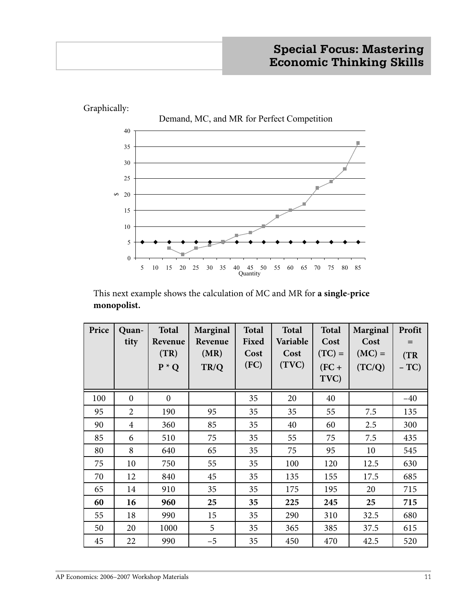

 This next example shows the calculation of MC and MR for **a single-price monopolist.**

| Price | Quan-<br>tity  | <b>Total</b><br>Revenue<br>(TR)<br>$P * Q$ | Marginal<br>Revenue<br>(MR)<br>TR/Q | <b>Total</b><br>Fixed<br>Cost<br>(FC) | <b>Total</b><br>Variable<br>Cost<br>(TVC) | <b>Total</b><br>Cost<br>$(TC) =$<br>$(FC +$<br>TVC) | Marginal<br>Cost<br>$(MC) =$<br>(TC/Q) | Profit<br>(TR)<br>$-TC$ |
|-------|----------------|--------------------------------------------|-------------------------------------|---------------------------------------|-------------------------------------------|-----------------------------------------------------|----------------------------------------|-------------------------|
| 100   | $\mathbf{0}$   | $\mathbf{0}$                               |                                     | 35                                    | 20                                        | 40                                                  |                                        | $-40$                   |
| 95    | $\overline{2}$ | 190                                        | 95                                  | 35                                    | 35                                        | 55                                                  | 7.5                                    | 135                     |
| 90    | $\overline{4}$ | 360                                        | 85                                  | 35                                    | 40                                        | 60                                                  | 2.5                                    | 300                     |
| 85    | 6              | 510                                        | 75                                  | 35                                    | 55                                        | 75                                                  | 7.5                                    | 435                     |
| 80    | 8              | 640                                        | 65                                  | 35                                    | 75                                        | 95                                                  | 10                                     | 545                     |
| 75    | 10             | 750                                        | 55                                  | 35                                    | 100                                       | 120                                                 | 12.5                                   | 630                     |
| 70    | 12             | 840                                        | 45                                  | 35                                    | 135                                       | 155                                                 | 17.5                                   | 685                     |
| 65    | 14             | 910                                        | 35                                  | 35                                    | 175                                       | 195                                                 | 20                                     | 715                     |
| 60    | 16             | 960                                        | 25                                  | 35                                    | 225                                       | 245                                                 | 25                                     | 715                     |
| 55    | 18             | 990                                        | 15                                  | 35                                    | 290                                       | 310                                                 | 32.5                                   | 680                     |
| 50    | 20             | 1000                                       | 5                                   | 35                                    | 365                                       | 385                                                 | 37.5                                   | 615                     |
| 45    | 22             | 990                                        | $-5$                                | 35                                    | 450                                       | 470                                                 | 42.5                                   | 520                     |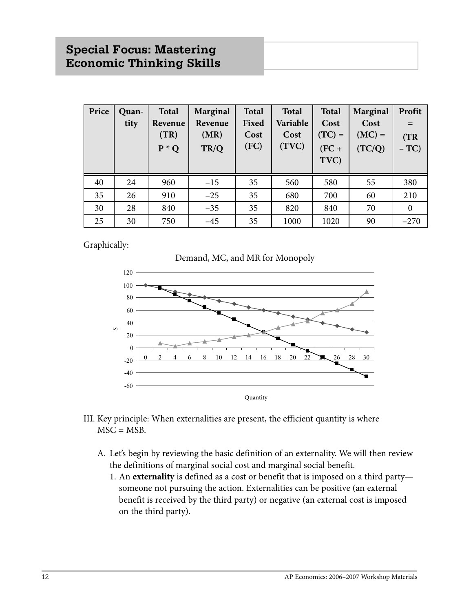| Price | Quan-<br>tity | <b>Total</b><br>Revenue<br>(TR)<br>$P * Q$ | Marginal<br>Revenue<br>(MR)<br>TR/Q | <b>Total</b><br>Fixed<br>Cost<br>(FC) | <b>Total</b><br>Variable<br>Cost<br>(TVC) | <b>Total</b><br>Cost<br>$(TC) =$<br>$(FC +$<br>TVC) | Marginal<br>Cost<br>$(MC) =$<br>(TC/Q) | Profit<br>(TR)<br>$-TC$ |
|-------|---------------|--------------------------------------------|-------------------------------------|---------------------------------------|-------------------------------------------|-----------------------------------------------------|----------------------------------------|-------------------------|
| 40    | 24            | 960                                        | $-15$                               | 35                                    | 560                                       | 580                                                 | 55                                     | 380                     |
| 35    | 26            | 910                                        | $-25$                               | 35                                    | 680                                       | 700                                                 | 60                                     | 210                     |
| 30    | 28            | 840                                        | $-35$                               | 35                                    | 820                                       | 840                                                 | 70                                     | $\theta$                |
| 25    | 30            | 750                                        | $-45$                               | 35                                    | 1000                                      | 1020                                                | 90                                     | $-270$                  |

Graphically:





- III. Key principle: When externalities are present, the efficient quantity is where  $MSC = MSB$ .
	- A. Let's begin by reviewing the basic definition of an externality. We will then review the definitions of marginal social cost and marginal social benefit.
		- 1. An **externality** is defined as a cost or benefit that is imposed on a third party someone not pursuing the action. Externalities can be positive (an external benefit is received by the third party) or negative (an external cost is imposed on the third party).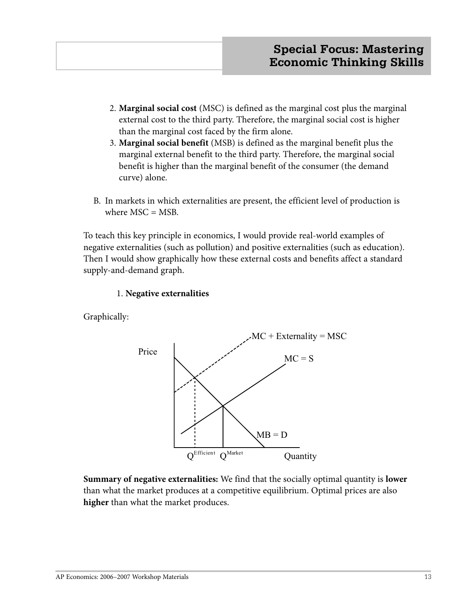- 2. **Marginal social cost** (MSC) is defined as the marginal cost plus the marginal external cost to the third party. Therefore, the marginal social cost is higher than the marginal cost faced by the firm alone.
- 3. **Marginal social benefit** (MSB) is defined as the marginal benefit plus the marginal external benefit to the third party. Therefore, the marginal social benefit is higher than the marginal benefit of the consumer (the demand curve) alone.
- B. In markets in which externalities are present, the efficient level of production is where  $MSC = MSB$ .

To teach this key principle in economics, I would provide real-world examples of negative externalities (such as pollution) and positive externalities (such as education). Then I would show graphically how these external costs and benefits affect a standard supply-and-demand graph.

## 1. **Negative externalities**

Graphically:



**Summary of negative externalities:** We find that the socially optimal quantity is **lower**  than what the market produces at a competitive equilibrium. Optimal prices are also **higher** than what the market produces.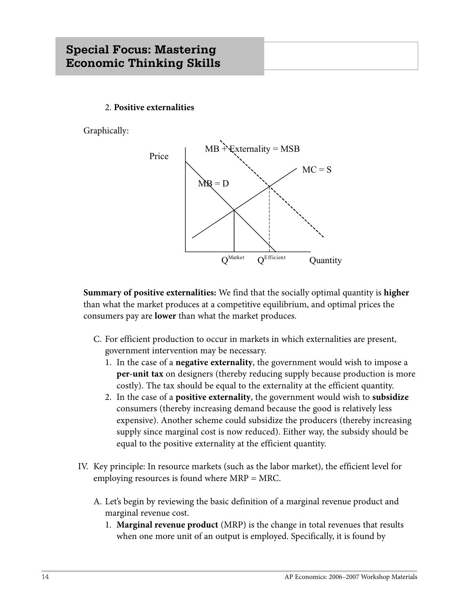# **Special Focus: Mastering Economic Thinking Skills**

#### 2. **Positive externalities**

Graphically:



**Summary of positive externalities:** We find that the socially optimal quantity is **higher** than what the market produces at a competitive equilibrium, and optimal prices the consumers pay are **lower** than what the market produces.

- C. For efficient production to occur in markets in which externalities are present, government intervention may be necessary.
	- 1. In the case of a **negative externality**, the government would wish to impose a **per-unit tax** on designers (thereby reducing supply because production is more costly). The tax should be equal to the externality at the efficient quantity.
	- 2. In the case of a **positive externality**, the government would wish to **subsidize** consumers (thereby increasing demand because the good is relatively less expensive). Another scheme could subsidize the producers (thereby increasing supply since marginal cost is now reduced). Either way, the subsidy should be equal to the positive externality at the efficient quantity.
- IV. Key principle: In resource markets (such as the labor market), the efficient level for employing resources is found where MRP = MRC.
	- A. Let's begin by reviewing the basic definition of a marginal revenue product and marginal revenue cost.
		- 1. **Marginal revenue product** (MRP) is the change in total revenues that results when one more unit of an output is employed. Specifically, it is found by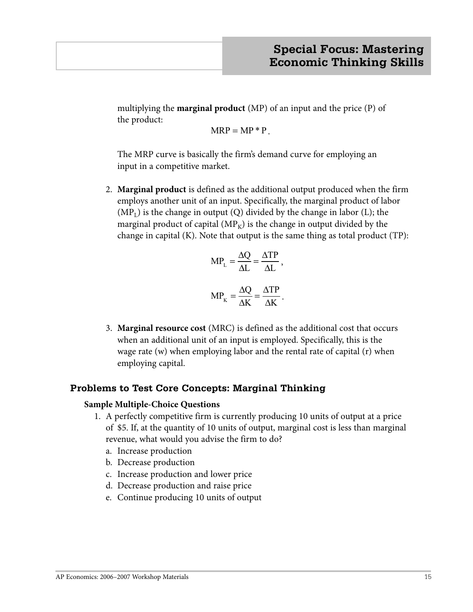multiplying the **marginal product** (MP) of an input and the price (P) of the product:

 $MRP = MP * P$ .

 The MRP curve is basically the firm's demand curve for employing an input in a competitive market.

 2. **Marginal product** is defined as the additional output produced when the firm employs another unit of an input. Specifically, the marginal product of labor  $(MP<sub>L</sub>)$  is the change in output (Q) divided by the change in labor (L); the marginal product of capital  $(MP_K)$  is the change in output divided by the change in capital (K). Note that output is the same thing as total product (TP):

$$
MP_{L} = \frac{\Delta Q}{\Delta L} = \frac{\Delta TP}{\Delta L},
$$

$$
MP_{K} = \frac{\Delta Q}{\Delta K} = \frac{\Delta TP}{\Delta K}.
$$

 3. **Marginal resource cost** (MRC) is defined as the additional cost that occurs when an additional unit of an input is employed. Specifically, this is the wage rate (w) when employing labor and the rental rate of capital (r) when employing capital.

## **Problems to Test Core Concepts: Marginal Thinking**

## **Sample Multiple-Choice Questions**

- 1. A perfectly competitive firm is currently producing 10 units of output at a price of \$5. If, at the quantity of 10 units of output, marginal cost is less than marginal revenue, what would you advise the firm to do?
	- a. Increase production
	- b. Decrease production
	- c. Increase production and lower price
	- d. Decrease production and raise price
	- e. Continue producing 10 units of output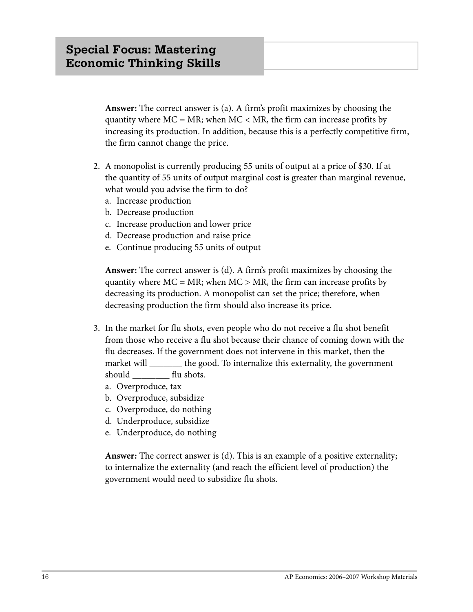**Answer:** The correct answer is (a). A firm's profit maximizes by choosing the quantity where  $MC = MR$ ; when  $MC < MR$ , the firm can increase profits by increasing its production. In addition, because this is a perfectly competitive firm, the firm cannot change the price.

- 2. A monopolist is currently producing 55 units of output at a price of \$30. If at the quantity of 55 units of output marginal cost is greater than marginal revenue, what would you advise the firm to do?
	- a. Increase production
	- b. Decrease production
	- c. Increase production and lower price
	- d. Decrease production and raise price
	- e. Continue producing 55 units of output

 **Answer:** The correct answer is (d). A firm's profit maximizes by choosing the quantity where  $MC = MR$ ; when  $MC > MR$ , the firm can increase profits by decreasing its production. A monopolist can set the price; therefore, when decreasing production the firm should also increase its price.

- 3. In the market for flu shots, even people who do not receive a flu shot benefit from those who receive a flu shot because their chance of coming down with the flu decreases. If the government does not intervene in this market, then the market will \_\_\_\_\_\_\_\_ the good. To internalize this externality, the government should flu shots.
	- a. Overproduce, tax
	- b. Overproduce, subsidize
	- c. Overproduce, do nothing
	- d. Underproduce, subsidize
	- e. Underproduce, do nothing

 **Answer:** The correct answer is (d). This is an example of a positive externality; to internalize the externality (and reach the efficient level of production) the government would need to subsidize flu shots.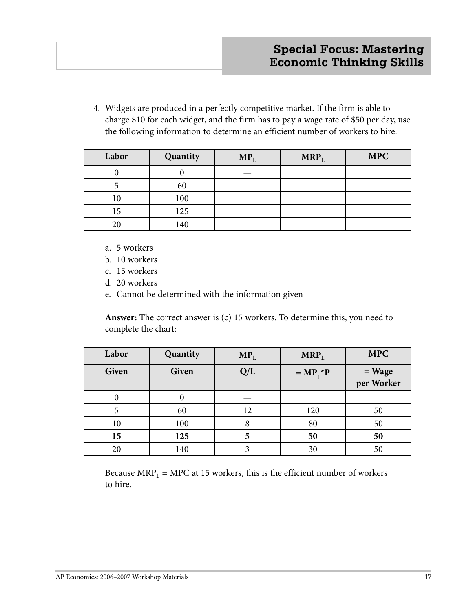4. Widgets are produced in a perfectly competitive market. If the firm is able to charge \$10 for each widget, and the firm has to pay a wage rate of \$50 per day, use the following information to determine an efficient number of workers to hire.

| Labor | Quantity | $MP_L$ | $MRP_L$ | <b>MPC</b> |
|-------|----------|--------|---------|------------|
|       |          |        |         |            |
|       | 60       |        |         |            |
| 10    | 100      |        |         |            |
| 15    | 125      |        |         |            |
| 20    | 140      |        |         |            |

- a. 5 workers
- b. 10 workers
- c. 15 workers
- d. 20 workers
- e. Cannot be determined with the information given

 **Answer:** The correct answer is (c) 15 workers. To determine this, you need to complete the chart:

| Labor        | Quantity | $MP_L$ | $MRP_L$     | <b>MPC</b>           |
|--------------|----------|--------|-------------|----------------------|
| <b>Given</b> | Given    | Q/L    | $= MP1 * P$ | = Wage<br>per Worker |
|              |          |        |             |                      |
| 5            | 60       | 12     | 120         | 50                   |
| 10           | 100      |        | 80          | 50                   |
| 15           | 125      |        | 50          | 50                   |
| 20           | 140      |        | 30          | 50                   |

Because  $MRP_L = MPC$  at 15 workers, this is the efficient number of workers to hire.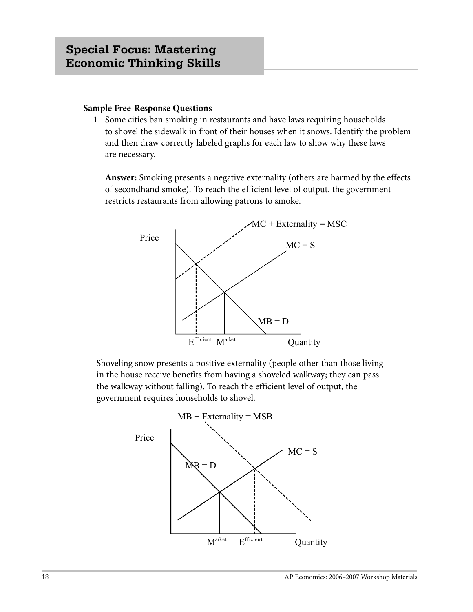#### **Sample Free-Response Questions**

1. Some cities ban smoking in restaurants and have laws requiring households to shovel the sidewalk in front of their houses when it snows. Identify the problem and then draw correctly labeled graphs for each law to show why these laws are necessary.

 **Answer:** Smoking presents a negative externality (others are harmed by the effects of secondhand smoke). To reach the efficient level of output, the government restricts restaurants from allowing patrons to smoke.



 Shoveling snow presents a positive externality (people other than those living in the house receive benefits from having a shoveled walkway; they can pass the walkway without falling). To reach the efficient level of output, the government requires households to shovel.

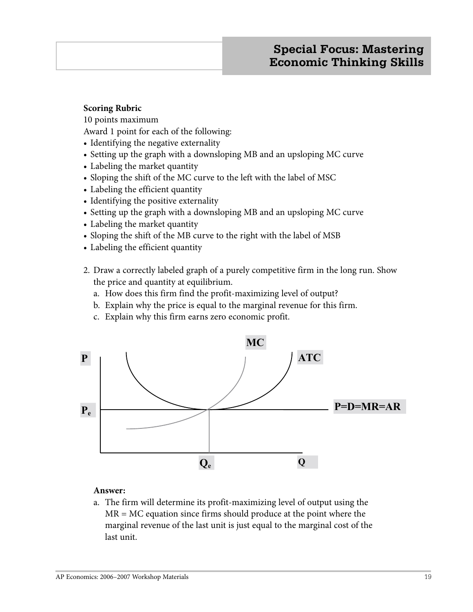#### **Scoring Rubric**

10 points maximum

Award 1 point for each of the following:

- Identifying the negative externality
- Setting up the graph with a downsloping MB and an upsloping MC curve
- Labeling the market quantity
- Sloping the shift of the MC curve to the left with the label of MSC
- Labeling the efficient quantity
- Identifying the positive externality
- Setting up the graph with a downsloping MB and an upsloping MC curve
- Labeling the market quantity
- Sloping the shift of the MB curve to the right with the label of MSB
- Labeling the efficient quantity
- 2. Draw a correctly labeled graph of a purely competitive firm in the long run. Show the price and quantity at equilibrium.
	- a. How does this firm find the profit-maximizing level of output?
	- b. Explain why the price is equal to the marginal revenue for this firm.
	- c. Explain why this firm earns zero economic profit.



## **Answer:**

 a. The firm will determine its profit-maximizing level of output using the MR = MC equation since firms should produce at the point where the marginal revenue of the last unit is just equal to the marginal cost of the last unit.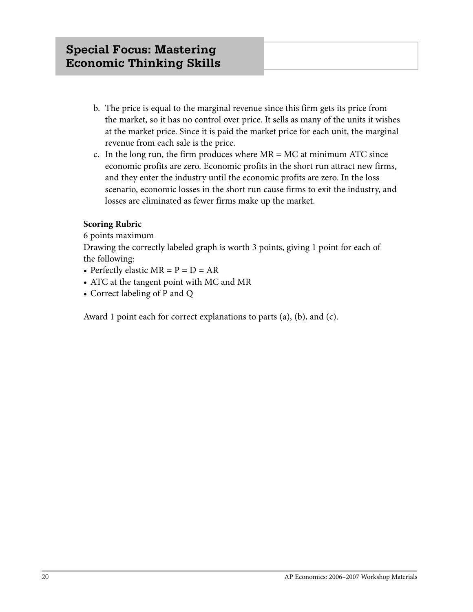- b. The price is equal to the marginal revenue since this firm gets its price from the market, so it has no control over price. It sells as many of the units it wishes at the market price. Since it is paid the market price for each unit, the marginal revenue from each sale is the price.
- c. In the long run, the firm produces where  $MR = MC$  at minimum ATC since economic profits are zero. Economic profits in the short run attract new firms, and they enter the industry until the economic profits are zero. In the loss scenario, economic losses in the short run cause firms to exit the industry, and losses are eliminated as fewer firms make up the market.

## **Scoring Rubric**

6 points maximum

Drawing the correctly labeled graph is worth 3 points, giving 1 point for each of the following:

- Perfectly elastic  $MR = P = D = AR$
- ATC at the tangent point with MC and MR
- Correct labeling of P and Q

Award 1 point each for correct explanations to parts (a), (b), and (c).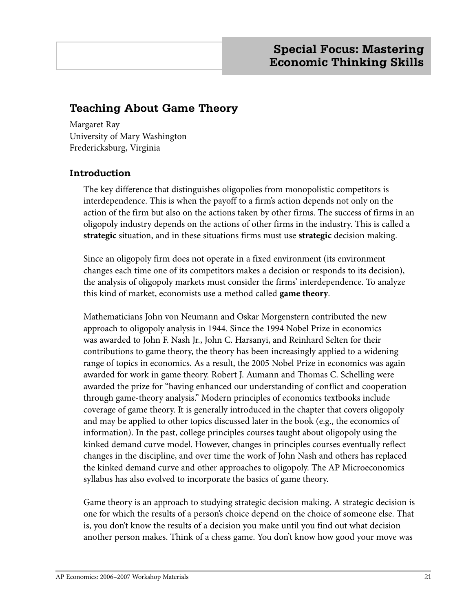# **Teaching About Game Theory**

Margaret Ray University of Mary Washington Fredericksburg, Virginia

## **Introduction**

The key difference that distinguishes oligopolies from monopolistic competitors is interdependence. This is when the payoff to a firm's action depends not only on the action of the firm but also on the actions taken by other firms. The success of firms in an oligopoly industry depends on the actions of other firms in the industry. This is called a **strategic** situation, and in these situations firms must use **strategic** decision making.

Since an oligopoly firm does not operate in a fixed environment (its environment changes each time one of its competitors makes a decision or responds to its decision), the analysis of oligopoly markets must consider the firms' interdependence. To analyze this kind of market, economists use a method called **game theory**.

Mathematicians John von Neumann and Oskar Morgenstern contributed the new approach to oligopoly analysis in 1944. Since the 1994 Nobel Prize in economics was awarded to John F. Nash Jr., John C. Harsanyi, and Reinhard Selten for their contributions to game theory, the theory has been increasingly applied to a widening range of topics in economics. As a result, the 2005 Nobel Prize in economics was again awarded for work in game theory. Robert J. Aumann and Thomas C. Schelling were awarded the prize for "having enhanced our understanding of conflict and cooperation through game-theory analysis." Modern principles of economics textbooks include coverage of game theory. It is generally introduced in the chapter that covers oligopoly and may be applied to other topics discussed later in the book (e.g., the economics of information). In the past, college principles courses taught about oligopoly using the kinked demand curve model. However, changes in principles courses eventually reflect changes in the discipline, and over time the work of John Nash and others has replaced the kinked demand curve and other approaches to oligopoly. The AP Microeconomics syllabus has also evolved to incorporate the basics of game theory.

Game theory is an approach to studying strategic decision making. A strategic decision is one for which the results of a person's choice depend on the choice of someone else. That is, you don't know the results of a decision you make until you find out what decision another person makes. Think of a chess game. You don't know how good your move was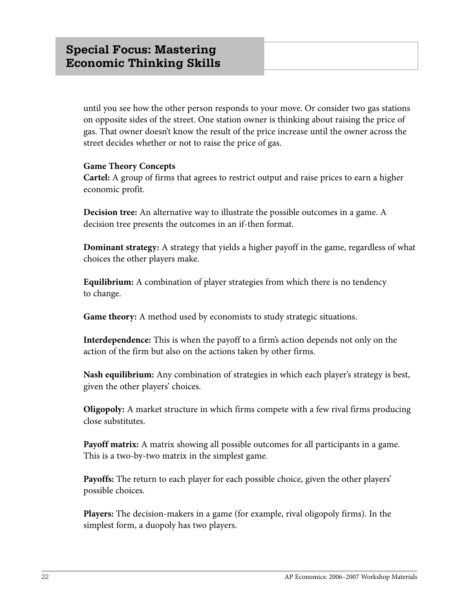until you see how the other person responds to your move. Or consider two gas stations on opposite sides of the street. One station owner is thinking about raising the price of gas. That owner doesn't know the result of the price increase until the owner across the street decides whether or not to raise the price of gas.

#### **Game Theory Concepts**

**Cartel:** A group of firms that agrees to restrict output and raise prices to earn a higher economic profit.

**Decision tree:** An alternative way to illustrate the possible outcomes in a game. A decision tree presents the outcomes in an if-then format.

**Dominant strategy:** A strategy that yields a higher payoff in the game, regardless of what choices the other players make.

**Equilibrium:** A combination of player strategies from which there is no tendency to change.

**Game theory:** A method used by economists to study strategic situations.

**Interdependence:** This is when the payoff to a firm's action depends not only on the action of the firm but also on the actions taken by other firms.

**Nash equilibrium:** Any combination of strategies in which each player's strategy is best, given the other players' choices.

**Oligopoly:** A market structure in which firms compete with a few rival firms producing close substitutes.

**Payoff matrix:** A matrix showing all possible outcomes for all participants in a game. This is a two-by-two matrix in the simplest game.

**Payoffs:** The return to each player for each possible choice, given the other players' possible choices.

**Players:** The decision-makers in a game (for example, rival oligopoly firms). In the simplest form, a duopoly has two players.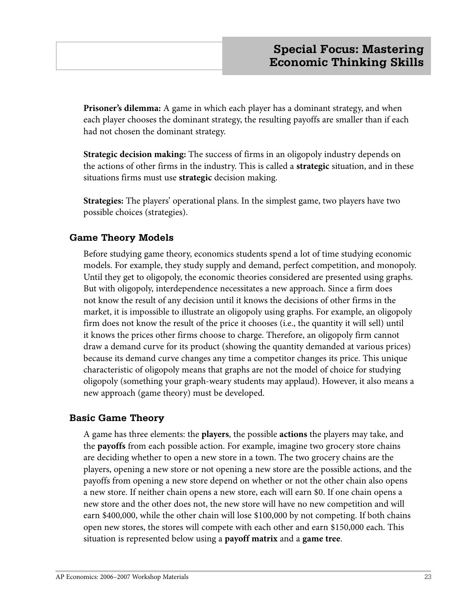**Prisoner's dilemma:** A game in which each player has a dominant strategy, and when each player chooses the dominant strategy, the resulting payoffs are smaller than if each had not chosen the dominant strategy.

**Strategic decision making:** The success of firms in an oligopoly industry depends on the actions of other firms in the industry. This is called a **strategic** situation, and in these situations firms must use **strategic** decision making.

**Strategies:** The players' operational plans. In the simplest game, two players have two possible choices (strategies).

## **Game Theory Models**

Before studying game theory, economics students spend a lot of time studying economic models. For example, they study supply and demand, perfect competition, and monopoly. Until they get to oligopoly, the economic theories considered are presented using graphs. But with oligopoly, interdependence necessitates a new approach. Since a firm does not know the result of any decision until it knows the decisions of other firms in the market, it is impossible to illustrate an oligopoly using graphs. For example, an oligopoly firm does not know the result of the price it chooses (i.e., the quantity it will sell) until it knows the prices other firms choose to charge. Therefore, an oligopoly firm cannot draw a demand curve for its product (showing the quantity demanded at various prices) because its demand curve changes any time a competitor changes its price. This unique characteristic of oligopoly means that graphs are not the model of choice for studying oligopoly (something your graph-weary students may applaud). However, it also means a new approach (game theory) must be developed.

## **Basic Game Theory**

A game has three elements: the **players**, the possible **actions** the players may take, and the **payoffs** from each possible action. For example, imagine two grocery store chains are deciding whether to open a new store in a town. The two grocery chains are the players, opening a new store or not opening a new store are the possible actions, and the payoffs from opening a new store depend on whether or not the other chain also opens a new store. If neither chain opens a new store, each will earn \$0. If one chain opens a new store and the other does not, the new store will have no new competition and will earn \$400,000, while the other chain will lose \$100,000 by not competing. If both chains open new stores, the stores will compete with each other and earn \$150,000 each. This situation is represented below using a **payoff matrix** and a **game tree**.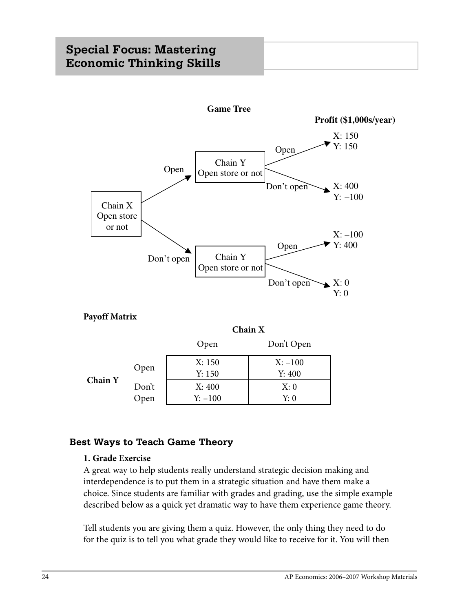

**Payoff Matrix**

**Chain X** Open Don't Open **Chain Y** Open X: 150 Y: 150  $X: -100$ Y: 400 Don't Open X: 400 Y: –100 X: 0 Y: 0

## **Best Ways to Teach Game Theory**

## **1. Grade Exercise**

A great way to help students really understand strategic decision making and interdependence is to put them in a strategic situation and have them make a choice. Since students are familiar with grades and grading, use the simple example described below as a quick yet dramatic way to have them experience game theory.

Tell students you are giving them a quiz. However, the only thing they need to do for the quiz is to tell you what grade they would like to receive for it. You will then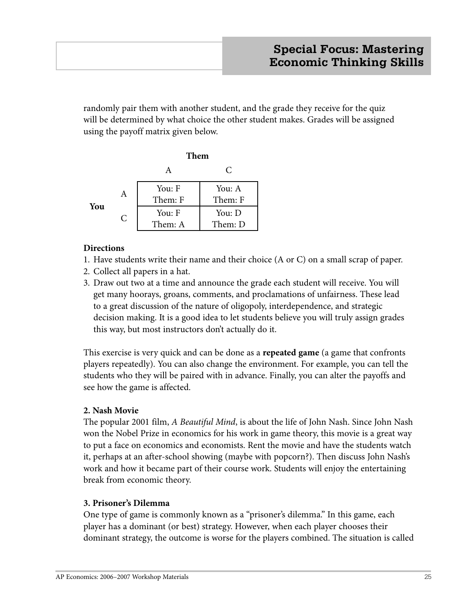randomly pair them with another student, and the grade they receive for the quiz will be determined by what choice the other student makes. Grades will be assigned using the payoff matrix given below.

|     |   | Them    |         |  |  |
|-----|---|---------|---------|--|--|
|     |   |         | C       |  |  |
|     | А | You: F  | You: A  |  |  |
| You |   | Them: F | Them: F |  |  |
|     | C | You: F  | You: D  |  |  |
|     |   | Them: A | Them: D |  |  |

## **Directions**

- 1. Have students write their name and their choice (A or C) on a small scrap of paper.
- 2. Collect all papers in a hat.
- 3. Draw out two at a time and announce the grade each student will receive. You will get many hoorays, groans, comments, and proclamations of unfairness. These lead to a great discussion of the nature of oligopoly, interdependence, and strategic decision making. It is a good idea to let students believe you will truly assign grades this way, but most instructors don't actually do it.

This exercise is very quick and can be done as a **repeated game** (a game that confronts players repeatedly). You can also change the environment. For example, you can tell the students who they will be paired with in advance. Finally, you can alter the payoffs and see how the game is affected.

## **2. Nash Movie**

The popular 2001 film, *A Beautiful Mind*, is about the life of John Nash. Since John Nash won the Nobel Prize in economics for his work in game theory, this movie is a great way to put a face on economics and economists. Rent the movie and have the students watch it, perhaps at an after-school showing (maybe with popcorn?). Then discuss John Nash's work and how it became part of their course work. Students will enjoy the entertaining break from economic theory.

## **3. Prisoner's Dilemma**

One type of game is commonly known as a "prisoner's dilemma." In this game, each player has a dominant (or best) strategy. However, when each player chooses their dominant strategy, the outcome is worse for the players combined. The situation is called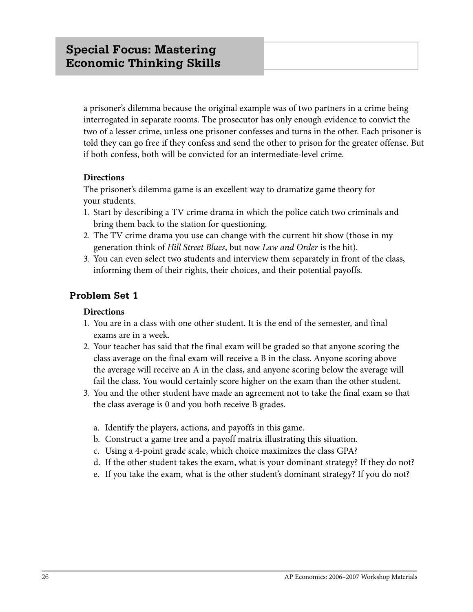a prisoner's dilemma because the original example was of two partners in a crime being interrogated in separate rooms. The prosecutor has only enough evidence to convict the two of a lesser crime, unless one prisoner confesses and turns in the other. Each prisoner is told they can go free if they confess and send the other to prison for the greater offense. But if both confess, both will be convicted for an intermediate-level crime.

## **Directions**

The prisoner's dilemma game is an excellent way to dramatize game theory for your students.

- 1. Start by describing a TV crime drama in which the police catch two criminals and bring them back to the station for questioning.
- 2. The TV crime drama you use can change with the current hit show (those in my generation think of *Hill Street Blues*, but now *Law and Order* is the hit).
- 3. You can even select two students and interview them separately in front of the class, informing them of their rights, their choices, and their potential payoffs.

## **Problem Set 1**

## **Directions**

- 1. You are in a class with one other student. It is the end of the semester, and final exams are in a week.
- 2. Your teacher has said that the final exam will be graded so that anyone scoring the class average on the final exam will receive a B in the class. Anyone scoring above the average will receive an A in the class, and anyone scoring below the average will fail the class. You would certainly score higher on the exam than the other student.
- 3. You and the other student have made an agreement not to take the final exam so that the class average is 0 and you both receive B grades.
	- a. Identify the players, actions, and payoffs in this game.
	- b. Construct a game tree and a payoff matrix illustrating this situation.
	- c. Using a 4-point grade scale, which choice maximizes the class GPA?
	- d. If the other student takes the exam, what is your dominant strategy? If they do not?
	- e. If you take the exam, what is the other student's dominant strategy? If you do not?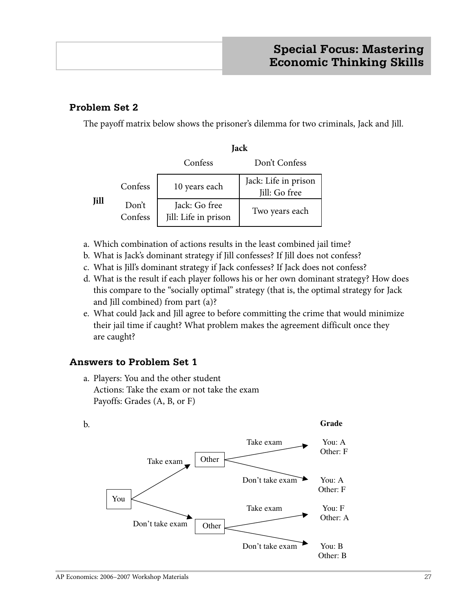## **Problem Set 2**

The payoff matrix below shows the prisoner's dilemma for two criminals, Jack and Jill.

|      |                  | Jack                                  |                                       |  |  |
|------|------------------|---------------------------------------|---------------------------------------|--|--|
|      |                  | Confess                               | Don't Confess                         |  |  |
|      | Confess          | 10 years each                         | Jack: Life in prison<br>Jill: Go free |  |  |
| Jill | Don't<br>Confess | Jack: Go free<br>Jill: Life in prison | Two years each                        |  |  |

- a. Which combination of actions results in the least combined jail time?
- b. What is Jack's dominant strategy if Jill confesses? If Jill does not confess?
- c. What is Jill's dominant strategy if Jack confesses? If Jack does not confess?
- d. What is the result if each player follows his or her own dominant strategy? How does this compare to the "socially optimal" strategy (that is, the optimal strategy for Jack and Jill combined) from part (a)?
- e. What could Jack and Jill agree to before committing the crime that would minimize their jail time if caught? What problem makes the agreement difficult once they are caught?

# **Answers to Problem Set 1**

a. Players: You and the other student Actions: Take the exam or not take the exam Payoffs: Grades (A, B, or F)

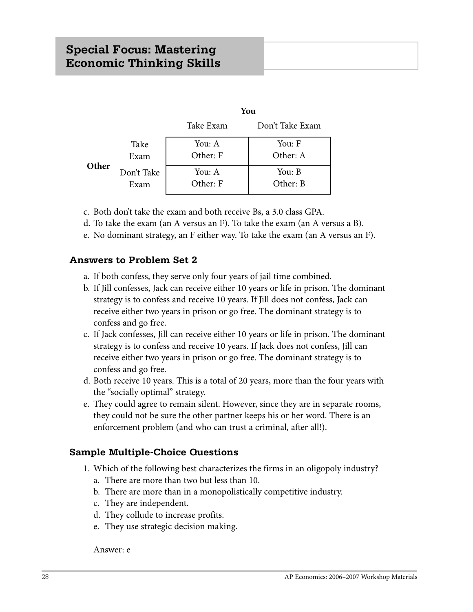# **Special Focus: Mastering Economic Thinking Skills**

|       |            | You       |                 |  |
|-------|------------|-----------|-----------------|--|
|       |            | Take Exam | Don't Take Exam |  |
|       | Take       | You: A    | You: F          |  |
|       | Exam       | Other: F  | Other: A        |  |
| Other | Don't Take | You: A    | You: B          |  |
|       | Exam       | Other: F  | Other: B        |  |

- c. Both don't take the exam and both receive Bs, a 3.0 class GPA.
- d. To take the exam (an A versus an F). To take the exam (an A versus a B).
- e. No dominant strategy, an F either way. To take the exam (an A versus an F).

#### **Answers to Problem Set 2**

- a. If both confess, they serve only four years of jail time combined.
- b. If Jill confesses, Jack can receive either 10 years or life in prison. The dominant strategy is to confess and receive 10 years. If Jill does not confess, Jack can receive either two years in prison or go free. The dominant strategy is to confess and go free.
- c. If Jack confesses, Jill can receive either 10 years or life in prison. The dominant strategy is to confess and receive 10 years. If Jack does not confess, Jill can receive either two years in prison or go free. The dominant strategy is to confess and go free.
- d. Both receive 10 years. This is a total of 20 years, more than the four years with the "socially optimal" strategy.
- e. They could agree to remain silent. However, since they are in separate rooms, they could not be sure the other partner keeps his or her word. There is an enforcement problem (and who can trust a criminal, after all!).

## **Sample Multiple-Choice Questions**

- 1. Which of the following best characterizes the firms in an oligopoly industry?
	- a. There are more than two but less than 10.
	- b. There are more than in a monopolistically competitive industry.
	- c. They are independent.
	- d. They collude to increase profits.
	- e. They use strategic decision making.

#### Answer: e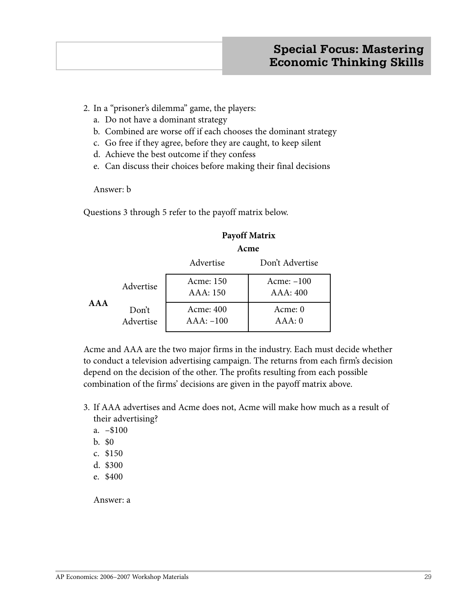## 2. In a "prisoner's dilemma" game, the players:

- a. Do not have a dominant strategy
- b. Combined are worse off if each chooses the dominant strategy
- c. Go free if they agree, before they are caught, to keep silent
- d. Achieve the best outcome if they confess
- e. Can discuss their choices before making their final decisions

Answer: b

Questions 3 through 5 refer to the payoff matrix below.

## **Payoff Matrix**

#### **Acme**

|       |                    | Advertise                | Don't Advertise          |
|-------|--------------------|--------------------------|--------------------------|
|       | Advertise          | Acme: 150<br>AAA: 150    | $Acme: -100$<br>AAA: 400 |
| A A A | Don't<br>Advertise | Acme: 400<br>$AAA: -100$ | Acme: 0<br>AAA:0         |

Acme and AAA are the two major firms in the industry. Each must decide whether to conduct a television advertising campaign. The returns from each firm's decision depend on the decision of the other. The profits resulting from each possible combination of the firms' decisions are given in the payoff matrix above.

- 3. If AAA advertises and Acme does not, Acme will make how much as a result of their advertising?
	- a. –\$100
	- b. \$0
	- c. \$150
	- d. \$300
	- e. \$400

Answer: a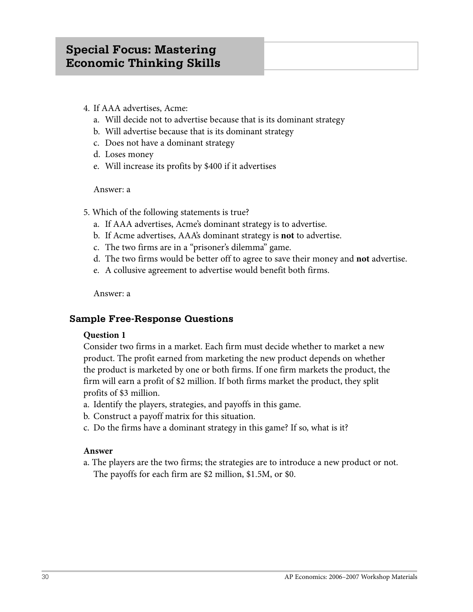- 4. If AAA advertises, Acme:
	- a. Will decide not to advertise because that is its dominant strategy
	- b. Will advertise because that is its dominant strategy
	- c. Does not have a dominant strategy
	- d. Loses money
	- e. Will increase its profits by \$400 if it advertises

#### Answer: a

- 5. Which of the following statements is true?
	- a. If AAA advertises, Acme's dominant strategy is to advertise.
	- b. If Acme advertises, AAA's dominant strategy is **not** to advertise.
	- c. The two firms are in a "prisoner's dilemma" game.
	- d. The two firms would be better off to agree to save their money and **not** advertise.
	- e. A collusive agreement to advertise would benefit both firms.

Answer: a

## **Sample Free-Response Questions**

#### **Question 1**

Consider two firms in a market. Each firm must decide whether to market a new product. The profit earned from marketing the new product depends on whether the product is marketed by one or both firms. If one firm markets the product, the firm will earn a profit of \$2 million. If both firms market the product, they split profits of \$3 million.

- a. Identify the players, strategies, and payoffs in this game.
- b. Construct a payoff matrix for this situation.
- c. Do the firms have a dominant strategy in this game? If so, what is it?

#### **Answer**

a. The players are the two firms; the strategies are to introduce a new product or not. The payoffs for each firm are \$2 million, \$1.5M, or \$0.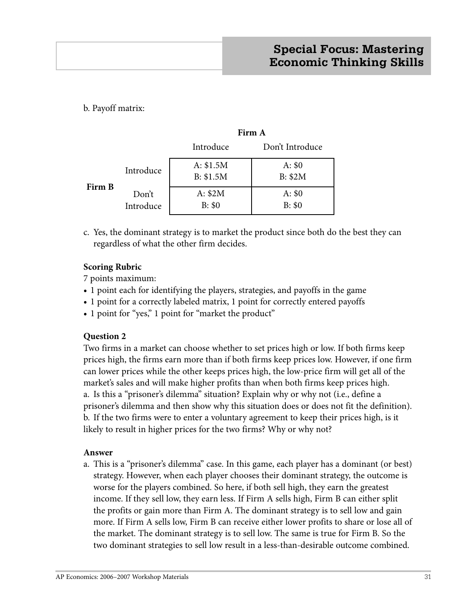b. Payoff matrix:

|        |                    | Firm A                 |                           |  |
|--------|--------------------|------------------------|---------------------------|--|
|        |                    | Introduce              | Don't Introduce           |  |
| Firm B | Introduce          | A: \$1.5M<br>B: \$1.5M | A: \$0<br><b>B</b> : \$2M |  |
|        | Don't<br>Introduce | A: \$2M<br>B: \$0      | A: \$0<br>B: \$0          |  |

c. Yes, the dominant strategy is to market the product since both do the best they can regardless of what the other firm decides.

## **Scoring Rubric**

7 points maximum:

- **•** 1 point each for identifying the players, strategies, and payoffs in the game
- **•** 1 point for a correctly labeled matrix, 1 point for correctly entered payoffs
- **•** 1 point for "yes," 1 point for "market the product"

## **Question 2**

Two firms in a market can choose whether to set prices high or low. If both firms keep prices high, the firms earn more than if both firms keep prices low. However, if one firm can lower prices while the other keeps prices high, the low-price firm will get all of the market's sales and will make higher profits than when both firms keep prices high. a. Is this a "prisoner's dilemma" situation? Explain why or why not (i.e., define a prisoner's dilemma and then show why this situation does or does not fit the definition). b. If the two firms were to enter a voluntary agreement to keep their prices high, is it likely to result in higher prices for the two firms? Why or why not?

## **Answer**

a. This is a "prisoner's dilemma" case. In this game, each player has a dominant (or best) strategy. However, when each player chooses their dominant strategy, the outcome is worse for the players combined. So here, if both sell high, they earn the greatest income. If they sell low, they earn less. If Firm A sells high, Firm B can either split the profits or gain more than Firm A. The dominant strategy is to sell low and gain more. If Firm A sells low, Firm B can receive either lower profits to share or lose all of the market. The dominant strategy is to sell low. The same is true for Firm B. So the two dominant strategies to sell low result in a less-than-desirable outcome combined.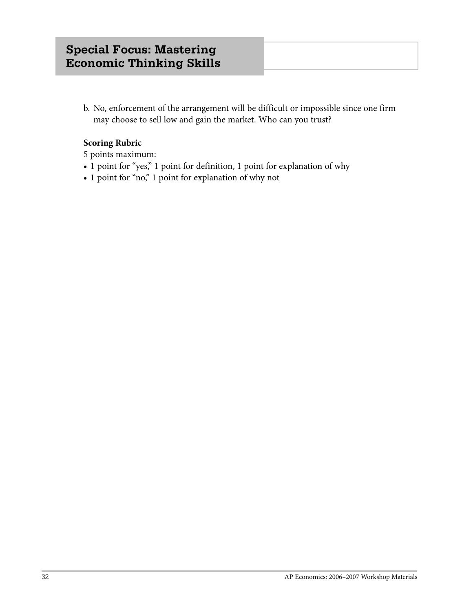b. No, enforcement of the arrangement will be difficult or impossible since one firm may choose to sell low and gain the market. Who can you trust?

## **Scoring Rubric**

5 points maximum:

- **•** 1 point for "yes," 1 point for definition, 1 point for explanation of why
- **•** 1 point for "no," 1 point for explanation of why not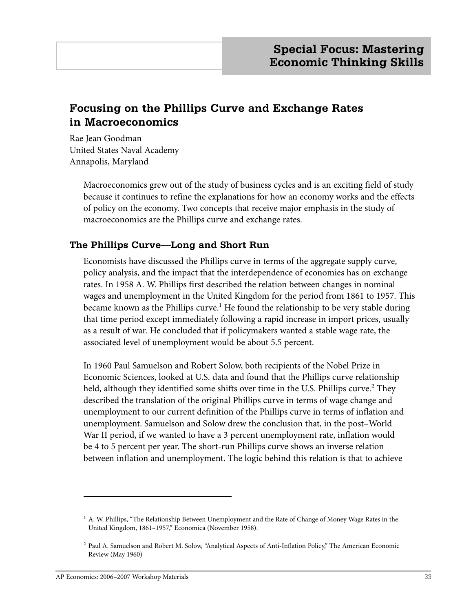# **Focusing on the Phillips Curve and Exchange Rates in Macroeconomics**

Rae Jean Goodman United States Naval Academy Annapolis, Maryland

> Macroeconomics grew out of the study of business cycles and is an exciting field of study because it continues to refine the explanations for how an economy works and the effects of policy on the economy. Two concepts that receive major emphasis in the study of macroeconomics are the Phillips curve and exchange rates.

## **The Phillips Curve—Long and Short Run**

Economists have discussed the Phillips curve in terms of the aggregate supply curve, policy analysis, and the impact that the interdependence of economies has on exchange rates. In 1958 A. W. Phillips first described the relation between changes in nominal wages and unemployment in the United Kingdom for the period from 1861 to 1957. This became known as the Phillips curve. $^1$  He found the relationship to be very stable during that time period except immediately following a rapid increase in import prices, usually as a result of war. He concluded that if policymakers wanted a stable wage rate, the associated level of unemployment would be about 5.5 percent.

In 1960 Paul Samuelson and Robert Solow, both recipients of the Nobel Prize in Economic Sciences, looked at U.S. data and found that the Phillips curve relationship held, although they identified some shifts over time in the U.S. Phillips curve.<sup>2</sup> They described the translation of the original Phillips curve in terms of wage change and unemployment to our current definition of the Phillips curve in terms of inflation and unemployment. Samuelson and Solow drew the conclusion that, in the post–World War II period, if we wanted to have a 3 percent unemployment rate, inflation would be 4 to 5 percent per year. The short-run Phillips curve shows an inverse relation between inflation and unemployment. The logic behind this relation is that to achieve

 $1$  A. W. Phillips, "The Relationship Between Unemployment and the Rate of Change of Money Wage Rates in the United Kingdom, 1861–1957," Economica (November 1958).

<sup>2</sup> Paul A. Samuelson and Robert M. Solow, "Analytical Aspects of Anti-Inflation Policy," The American Economic Review (May 1960)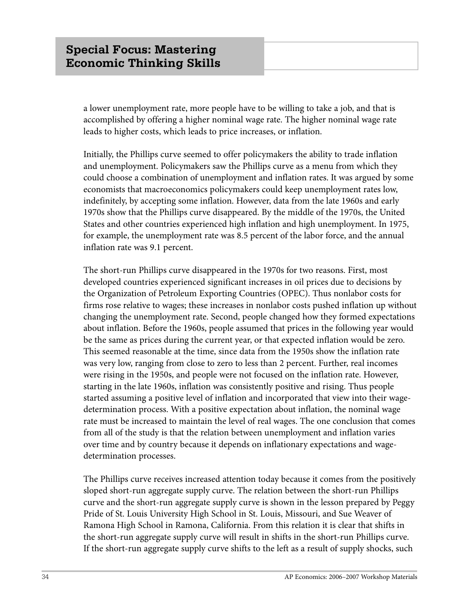a lower unemployment rate, more people have to be willing to take a job, and that is accomplished by offering a higher nominal wage rate. The higher nominal wage rate leads to higher costs, which leads to price increases, or inflation.

Initially, the Phillips curve seemed to offer policymakers the ability to trade inflation and unemployment. Policymakers saw the Phillips curve as a menu from which they could choose a combination of unemployment and inflation rates. It was argued by some economists that macroeconomics policymakers could keep unemployment rates low, indefinitely, by accepting some inflation. However, data from the late 1960s and early 1970s show that the Phillips curve disappeared. By the middle of the 1970s, the United States and other countries experienced high inflation and high unemployment. In 1975, for example, the unemployment rate was 8.5 percent of the labor force, and the annual inflation rate was 9.1 percent.

The short-run Phillips curve disappeared in the 1970s for two reasons. First, most developed countries experienced significant increases in oil prices due to decisions by the Organization of Petroleum Exporting Countries (OPEC). Thus nonlabor costs for firms rose relative to wages; these increases in nonlabor costs pushed inflation up without changing the unemployment rate. Second, people changed how they formed expectations about inflation. Before the 1960s, people assumed that prices in the following year would be the same as prices during the current year, or that expected inflation would be zero. This seemed reasonable at the time, since data from the 1950s show the inflation rate was very low, ranging from close to zero to less than 2 percent. Further, real incomes were rising in the 1950s, and people were not focused on the inflation rate. However, starting in the late 1960s, inflation was consistently positive and rising. Thus people started assuming a positive level of inflation and incorporated that view into their wagedetermination process. With a positive expectation about inflation, the nominal wage rate must be increased to maintain the level of real wages. The one conclusion that comes from all of the study is that the relation between unemployment and inflation varies over time and by country because it depends on inflationary expectations and wagedetermination processes.

The Phillips curve receives increased attention today because it comes from the positively sloped short-run aggregate supply curve. The relation between the short-run Phillips curve and the short-run aggregate supply curve is shown in the lesson prepared by Peggy Pride of St. Louis University High School in St. Louis, Missouri, and Sue Weaver of Ramona High School in Ramona, California. From this relation it is clear that shifts in the short-run aggregate supply curve will result in shifts in the short-run Phillips curve. If the short-run aggregate supply curve shifts to the left as a result of supply shocks, such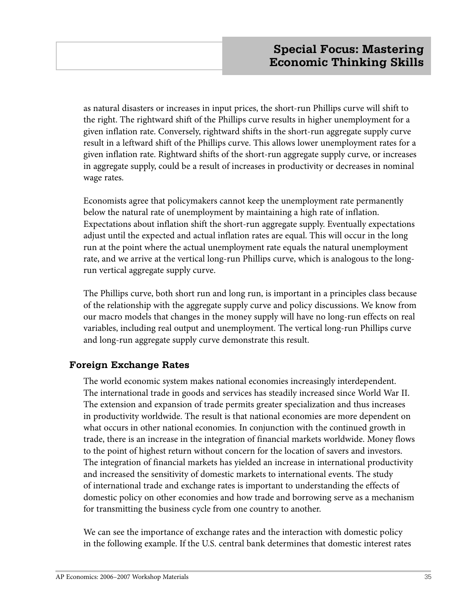as natural disasters or increases in input prices, the short-run Phillips curve will shift to the right. The rightward shift of the Phillips curve results in higher unemployment for a given inflation rate. Conversely, rightward shifts in the short-run aggregate supply curve result in a leftward shift of the Phillips curve. This allows lower unemployment rates for a given inflation rate. Rightward shifts of the short-run aggregate supply curve, or increases in aggregate supply, could be a result of increases in productivity or decreases in nominal wage rates.

Economists agree that policymakers cannot keep the unemployment rate permanently below the natural rate of unemployment by maintaining a high rate of inflation. Expectations about inflation shift the short-run aggregate supply. Eventually expectations adjust until the expected and actual inflation rates are equal. This will occur in the long run at the point where the actual unemployment rate equals the natural unemployment rate, and we arrive at the vertical long-run Phillips curve, which is analogous to the longrun vertical aggregate supply curve.

The Phillips curve, both short run and long run, is important in a principles class because of the relationship with the aggregate supply curve and policy discussions. We know from our macro models that changes in the money supply will have no long-run effects on real variables, including real output and unemployment. The vertical long-run Phillips curve and long-run aggregate supply curve demonstrate this result.

## **Foreign Exchange Rates**

The world economic system makes national economies increasingly interdependent. The international trade in goods and services has steadily increased since World War II. The extension and expansion of trade permits greater specialization and thus increases in productivity worldwide. The result is that national economies are more dependent on what occurs in other national economies. In conjunction with the continued growth in trade, there is an increase in the integration of financial markets worldwide. Money flows to the point of highest return without concern for the location of savers and investors. The integration of financial markets has yielded an increase in international productivity and increased the sensitivity of domestic markets to international events. The study of international trade and exchange rates is important to understanding the effects of domestic policy on other economies and how trade and borrowing serve as a mechanism for transmitting the business cycle from one country to another.

We can see the importance of exchange rates and the interaction with domestic policy in the following example. If the U.S. central bank determines that domestic interest rates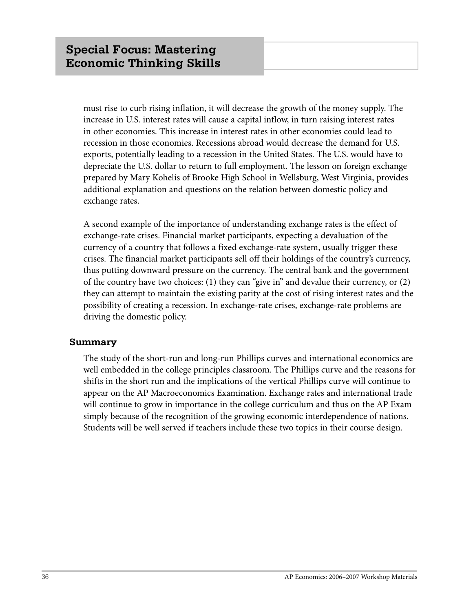must rise to curb rising inflation, it will decrease the growth of the money supply. The increase in U.S. interest rates will cause a capital inflow, in turn raising interest rates in other economies. This increase in interest rates in other economies could lead to recession in those economies. Recessions abroad would decrease the demand for U.S. exports, potentially leading to a recession in the United States. The U.S. would have to depreciate the U.S. dollar to return to full employment. The lesson on foreign exchange prepared by Mary Kohelis of Brooke High School in Wellsburg, West Virginia, provides additional explanation and questions on the relation between domestic policy and exchange rates.

A second example of the importance of understanding exchange rates is the effect of exchange-rate crises. Financial market participants, expecting a devaluation of the currency of a country that follows a fixed exchange-rate system, usually trigger these crises. The financial market participants sell off their holdings of the country's currency, thus putting downward pressure on the currency. The central bank and the government of the country have two choices: (1) they can "give in" and devalue their currency, or (2) they can attempt to maintain the existing parity at the cost of rising interest rates and the possibility of creating a recession. In exchange-rate crises, exchange-rate problems are driving the domestic policy.

## **Summary**

The study of the short-run and long-run Phillips curves and international economics are well embedded in the college principles classroom. The Phillips curve and the reasons for shifts in the short run and the implications of the vertical Phillips curve will continue to appear on the AP Macroeconomics Examination. Exchange rates and international trade will continue to grow in importance in the college curriculum and thus on the AP Exam simply because of the recognition of the growing economic interdependence of nations. Students will be well served if teachers include these two topics in their course design.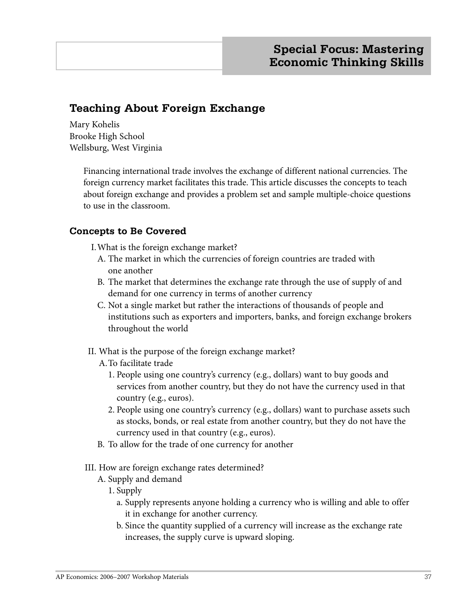# **Teaching About Foreign Exchange**

Mary Kohelis Brooke High School Wellsburg, West Virginia

> Financing international trade involves the exchange of different national currencies. The foreign currency market facilitates this trade. This article discusses the concepts to teach about foreign exchange and provides a problem set and sample multiple-choice questions to use in the classroom.

## **Concepts to Be Covered**

I. What is the foreign exchange market?

- A. The market in which the currencies of foreign countries are traded with one another
- B. The market that determines the exchange rate through the use of supply of and demand for one currency in terms of another currency
- C. Not a single market but rather the interactions of thousands of people and institutions such as exporters and importers, banks, and foreign exchange brokers throughout the world
- II. What is the purpose of the foreign exchange market?
	- A. To facilitate trade
		- 1. People using one country's currency (e.g., dollars) want to buy goods and services from another country, but they do not have the currency used in that country (e.g., euros).
		- 2. People using one country's currency (e.g., dollars) want to purchase assets such as stocks, bonds, or real estate from another country, but they do not have the currency used in that country (e.g., euros).
	- B. To allow for the trade of one currency for another
- III. How are foreign exchange rates determined?
	- A. Supply and demand
		- 1. Supply
			- a. Supply represents anyone holding a currency who is willing and able to offer it in exchange for another currency.
			- b. Since the quantity supplied of a currency will increase as the exchange rate increases, the supply curve is upward sloping.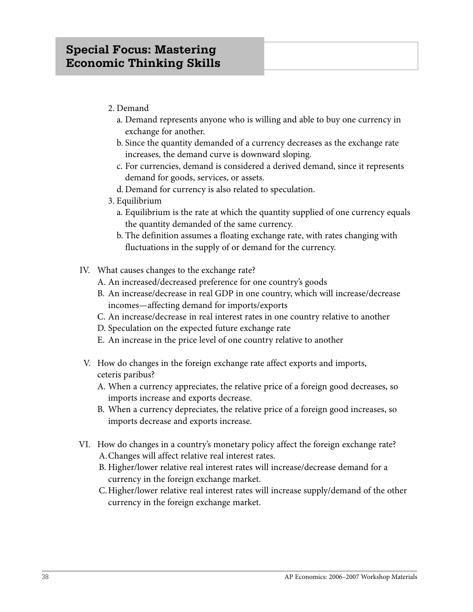- 2. Demand
	- a. Demand represents anyone who is willing and able to buy one currency in exchange for another.
	- b. Since the quantity demanded of a currency decreases as the exchange rate increases, the demand curve is downward sloping.
	- c. For currencies, demand is considered a derived demand, since it represents demand for goods, services, or assets.
	- d. Demand for currency is also related to speculation.
- 3. Equilibrium
	- a. Equilibrium is the rate at which the quantity supplied of one currency equals the quantity demanded of the same currency.
	- b. The definition assumes a floating exchange rate, with rates changing with fluctuations in the supply of or demand for the currency.
- IV. What causes changes to the exchange rate?
	- A. An increased/decreased preference for one country's goods
	- B. An increase/decrease in real GDP in one country, which will increase/decrease incomes—affecting demand for imports/exports
	- C. An increase/decrease in real interest rates in one country relative to another
	- D. Speculation on the expected future exchange rate
	- E. An increase in the price level of one country relative to another
- V. How do changes in the foreign exchange rate affect exports and imports, ceteris paribus?
	- A. When a currency appreciates, the relative price of a foreign good decreases, so imports increase and exports decrease.
	- B. When a currency depreciates, the relative price of a foreign good increases, so imports decrease and exports increase.
- VI. How do changes in a country's monetary policy affect the foreign exchange rate? A. Changes will affect relative real interest rates.
	- B. Higher/lower relative real interest rates will increase/decrease demand for a currency in the foreign exchange market.
	- C. Higher/lower relative real interest rates will increase supply/demand of the other currency in the foreign exchange market.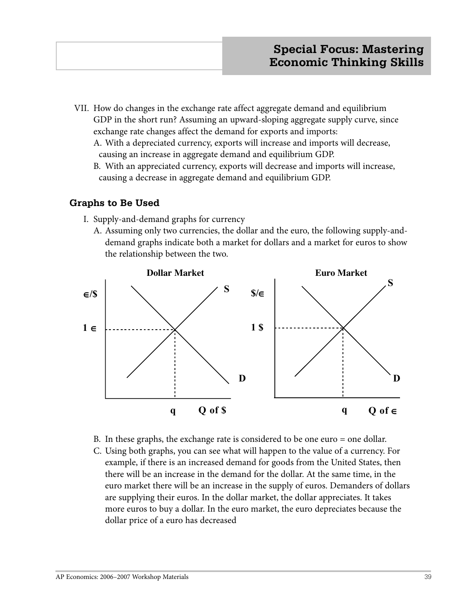- VII. How do changes in the exchange rate affect aggregate demand and equilibrium GDP in the short run? Assuming an upward-sloping aggregate supply curve, since exchange rate changes affect the demand for exports and imports:
	- A. With a depreciated currency, exports will increase and imports will decrease, causing an increase in aggregate demand and equilibrium GDP.
	- B. With an appreciated currency, exports will decrease and imports will increase, causing a decrease in aggregate demand and equilibrium GDP.

## **Graphs to Be Used**

- I. Supply-and-demand graphs for currency
	- A. Assuming only two currencies, the dollar and the euro, the following supply-and demand graphs indicate both a market for dollars and a market for euros to show the relationship between the two.



- B. In these graphs, the exchange rate is considered to be one euro = one dollar.
- C. Using both graphs, you can see what will happen to the value of a currency. For example, if there is an increased demand for goods from the United States, then there will be an increase in the demand for the dollar. At the same time, in the euro market there will be an increase in the supply of euros. Demanders of dollars are supplying their euros. In the dollar market, the dollar appreciates. It takes more euros to buy a dollar. In the euro market, the euro depreciates because the dollar price of a euro has decreased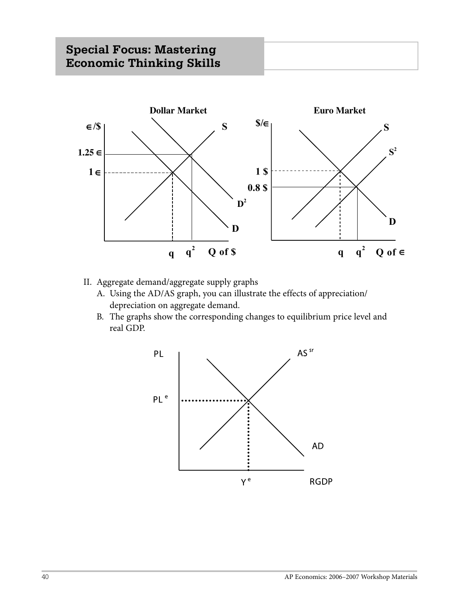

- II. Aggregate demand/aggregate supply graphs
	- A. Using the AD/AS graph, you can illustrate the effects of appreciation/ depreciation on aggregate demand.
	- B. The graphs show the corresponding changes to equilibrium price level and real GDP.

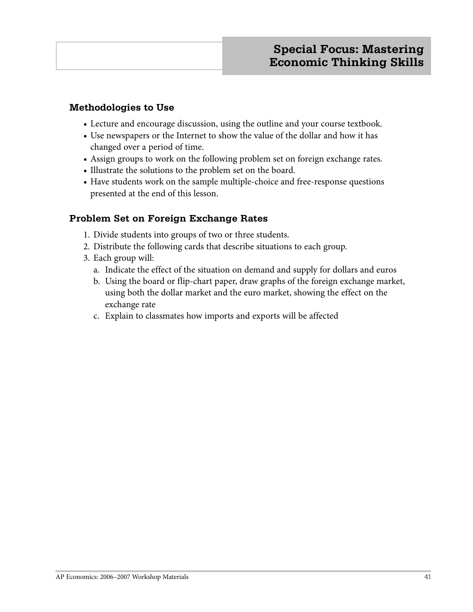## **Methodologies to Use**

- **•** Lecture and encourage discussion, using the outline and your course textbook.
- **•** Use newspapers or the Internet to show the value of the dollar and how it has changed over a period of time.
- **•** Assign groups to work on the following problem set on foreign exchange rates.
- **•** Illustrate the solutions to the problem set on the board.
- **•** Have students work on the sample multiple-choice and free-response questions presented at the end of this lesson.

## **Problem Set on Foreign Exchange Rates**

- 1. Divide students into groups of two or three students.
- 2. Distribute the following cards that describe situations to each group.
- 3. Each group will:
	- a. Indicate the effect of the situation on demand and supply for dollars and euros
	- b. Using the board or flip-chart paper, draw graphs of the foreign exchange market, using both the dollar market and the euro market, showing the effect on the exchange rate
	- c. Explain to classmates how imports and exports will be affected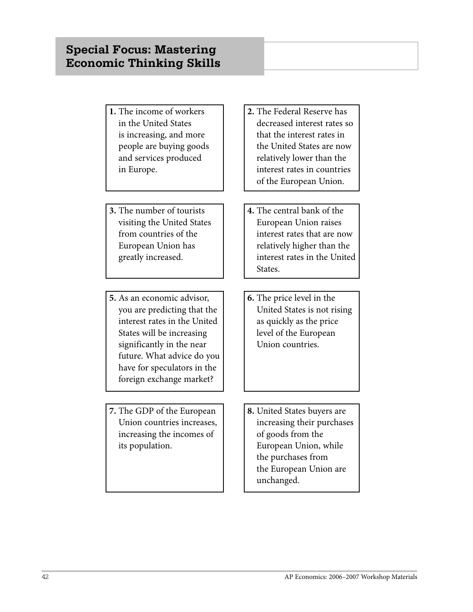- **1.** The income of workers in the United States is increasing, and more people are buying goods and services produced in Europe.
- **3.** The number of tourists visiting the United States from countries of the European Union has greatly increased.
- **5.** As an economic advisor, you are predicting that the interest rates in the United States will be increasing significantly in the near future. What advice do you have for speculators in the foreign exchange market?
- **7.** The GDP of the European Union countries increases, increasing the incomes of its population.
- **2.** The Federal Reserve has decreased interest rates so that the interest rates in the United States are now relatively lower than the interest rates in countries of the European Union.
- **4.** The central bank of the European Union raises interest rates that are now relatively higher than the interest rates in the United States.
- **6.** The price level in the United States is not rising as quickly as the price level of the European Union countries.
- **8.** United States buyers are increasing their purchases of goods from the European Union, while the purchases from the European Union are unchanged.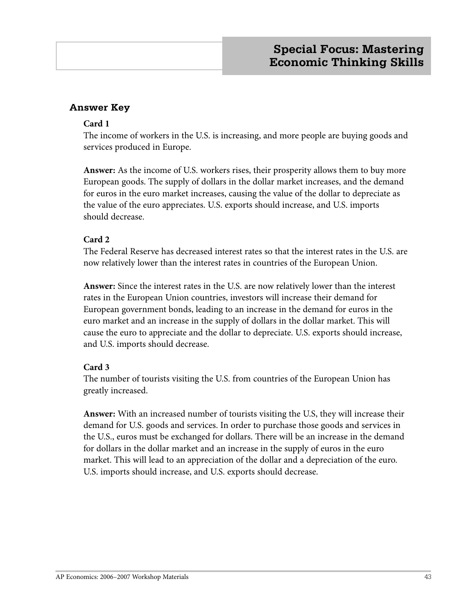## **Answer Key**

## **Card 1**

The income of workers in the U.S. is increasing, and more people are buying goods and services produced in Europe.

**Answer:** As the income of U.S. workers rises, their prosperity allows them to buy more European goods. The supply of dollars in the dollar market increases, and the demand for euros in the euro market increases, causing the value of the dollar to depreciate as the value of the euro appreciates. U.S. exports should increase, and U.S. imports should decrease.

## **Card 2**

The Federal Reserve has decreased interest rates so that the interest rates in the U.S. are now relatively lower than the interest rates in countries of the European Union.

**Answer:** Since the interest rates in the U.S. are now relatively lower than the interest rates in the European Union countries, investors will increase their demand for European government bonds, leading to an increase in the demand for euros in the euro market and an increase in the supply of dollars in the dollar market. This will cause the euro to appreciate and the dollar to depreciate. U.S. exports should increase, and U.S. imports should decrease.

## **Card 3**

The number of tourists visiting the U.S. from countries of the European Union has greatly increased.

**Answer:** With an increased number of tourists visiting the U.S, they will increase their demand for U.S. goods and services. In order to purchase those goods and services in the U.S., euros must be exchanged for dollars. There will be an increase in the demand for dollars in the dollar market and an increase in the supply of euros in the euro market. This will lead to an appreciation of the dollar and a depreciation of the euro. U.S. imports should increase, and U.S. exports should decrease.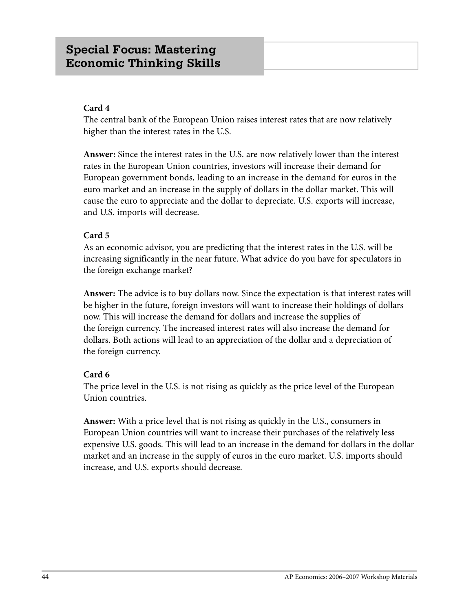## **Card 4**

The central bank of the European Union raises interest rates that are now relatively higher than the interest rates in the U.S.

**Answer:** Since the interest rates in the U.S. are now relatively lower than the interest rates in the European Union countries, investors will increase their demand for European government bonds, leading to an increase in the demand for euros in the euro market and an increase in the supply of dollars in the dollar market. This will cause the euro to appreciate and the dollar to depreciate. U.S. exports will increase, and U.S. imports will decrease.

## **Card 5**

As an economic advisor, you are predicting that the interest rates in the U.S. will be increasing significantly in the near future. What advice do you have for speculators in the foreign exchange market?

**Answer:** The advice is to buy dollars now. Since the expectation is that interest rates will be higher in the future, foreign investors will want to increase their holdings of dollars now. This will increase the demand for dollars and increase the supplies of the foreign currency. The increased interest rates will also increase the demand for dollars. Both actions will lead to an appreciation of the dollar and a depreciation of the foreign currency.

## **Card 6**

The price level in the U.S. is not rising as quickly as the price level of the European Union countries.

**Answer:** With a price level that is not rising as quickly in the U.S., consumers in European Union countries will want to increase their purchases of the relatively less expensive U.S. goods. This will lead to an increase in the demand for dollars in the dollar market and an increase in the supply of euros in the euro market. U.S. imports should increase, and U.S. exports should decrease.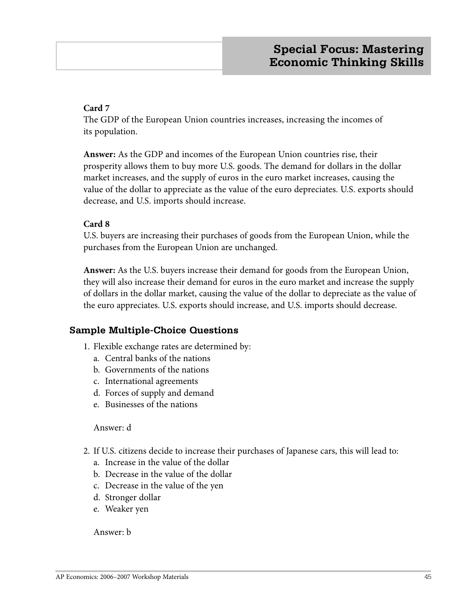## **Card 7**

The GDP of the European Union countries increases, increasing the incomes of its population.

**Answer:** As the GDP and incomes of the European Union countries rise, their prosperity allows them to buy more U.S. goods. The demand for dollars in the dollar market increases, and the supply of euros in the euro market increases, causing the value of the dollar to appreciate as the value of the euro depreciates. U.S. exports should decrease, and U.S. imports should increase.

## **Card 8**

U.S. buyers are increasing their purchases of goods from the European Union, while the purchases from the European Union are unchanged.

**Answer:** As the U.S. buyers increase their demand for goods from the European Union, they will also increase their demand for euros in the euro market and increase the supply of dollars in the dollar market, causing the value of the dollar to depreciate as the value of the euro appreciates. U.S. exports should increase, and U.S. imports should decrease.

## **Sample Multiple-Choice Questions**

- 1. Flexible exchange rates are determined by:
	- a. Central banks of the nations
	- b. Governments of the nations
	- c. International agreements
	- d. Forces of supply and demand
	- e. Businesses of the nations

Answer: d

- 2. If U.S. citizens decide to increase their purchases of Japanese cars, this will lead to:
	- a. Increase in the value of the dollar
	- b. Decrease in the value of the dollar
	- c. Decrease in the value of the yen
	- d. Stronger dollar
	- e. Weaker yen

Answer: b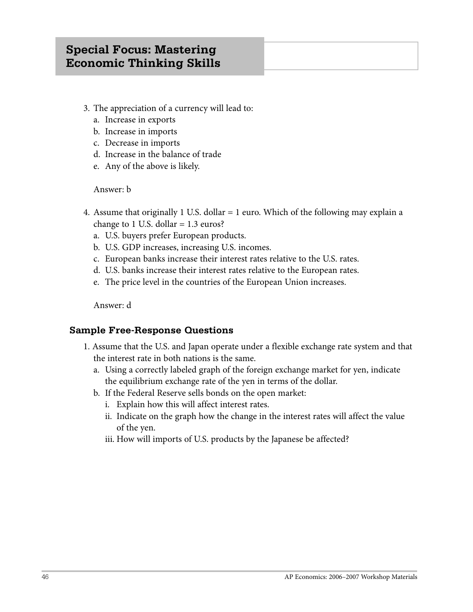# **Special Focus: Mastering Economic Thinking Skills**

- 3. The appreciation of a currency will lead to:
	- a. Increase in exports
	- b. Increase in imports
	- c. Decrease in imports
	- d. Increase in the balance of trade
	- e. Any of the above is likely.

## Answer: b

- 4. Assume that originally 1 U.S. dollar = 1 euro. Which of the following may explain a change to 1 U.S. dollar  $= 1.3$  euros?
	- a. U.S. buyers prefer European products.
	- b. U.S. GDP increases, increasing U.S. incomes.
	- c. European banks increase their interest rates relative to the U.S. rates.
	- d. U.S. banks increase their interest rates relative to the European rates.
	- e. The price level in the countries of the European Union increases.

Answer: d

## **Sample Free-Response Questions**

- 1. Assume that the U.S. and Japan operate under a flexible exchange rate system and that the interest rate in both nations is the same.
	- a. Using a correctly labeled graph of the foreign exchange market for yen, indicate the equilibrium exchange rate of the yen in terms of the dollar.
	- b. If the Federal Reserve sells bonds on the open market:
		- i. Explain how this will affect interest rates.
		- ii. Indicate on the graph how the change in the interest rates will affect the value of the yen.
		- iii. How will imports of U.S. products by the Japanese be affected?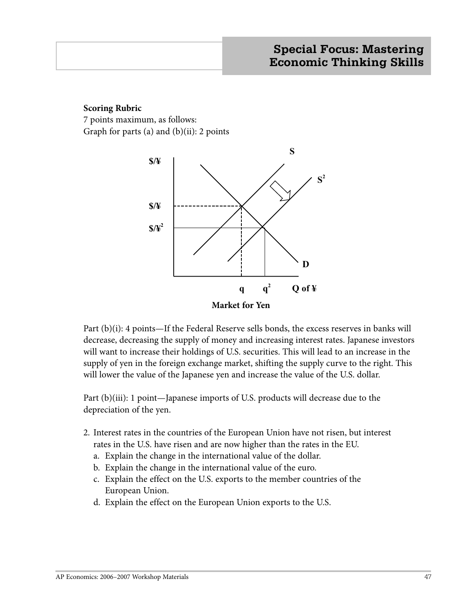## **Scoring Rubric**

7 points maximum, as follows: Graph for parts (a) and  $(b)(ii)$ : 2 points



Part (b)(i): 4 points—If the Federal Reserve sells bonds, the excess reserves in banks will decrease, decreasing the supply of money and increasing interest rates. Japanese investors will want to increase their holdings of U.S. securities. This will lead to an increase in the supply of yen in the foreign exchange market, shifting the supply curve to the right. This will lower the value of the Japanese yen and increase the value of the U.S. dollar.

Part (b)(iii): 1 point—Japanese imports of U.S. products will decrease due to the depreciation of the yen.

- 2. Interest rates in the countries of the European Union have not risen, but interest rates in the U.S. have risen and are now higher than the rates in the EU.
	- a. Explain the change in the international value of the dollar.
	- b. Explain the change in the international value of the euro.
	- c. Explain the effect on the U.S. exports to the member countries of the European Union.
	- d. Explain the effect on the European Union exports to the U.S.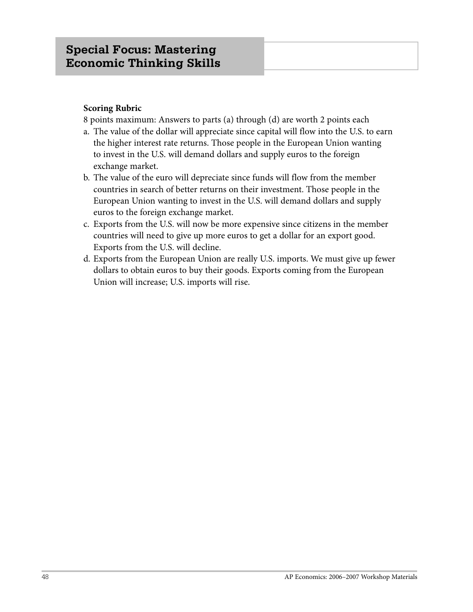## **Scoring Rubric**

8 points maximum: Answers to parts (a) through (d) are worth 2 points each

- a. The value of the dollar will appreciate since capital will flow into the U.S. to earn the higher interest rate returns. Those people in the European Union wanting to invest in the U.S. will demand dollars and supply euros to the foreign exchange market.
- b. The value of the euro will depreciate since funds will flow from the member countries in search of better returns on their investment. Those people in the European Union wanting to invest in the U.S. will demand dollars and supply euros to the foreign exchange market.
- c. Exports from the U.S. will now be more expensive since citizens in the member countries will need to give up more euros to get a dollar for an export good. Exports from the U.S. will decline.
- d. Exports from the European Union are really U.S. imports. We must give up fewer dollars to obtain euros to buy their goods. Exports coming from the European Union will increase; U.S. imports will rise.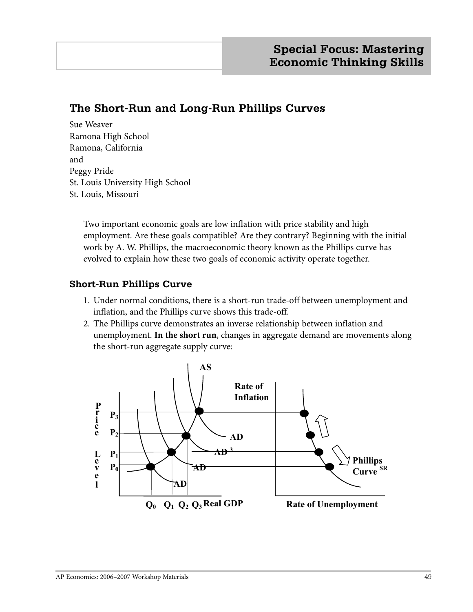# **The Short-Run and Long-Run Phillips Curves**

Sue Weaver Ramona High School Ramona, California and Peggy Pride St. Louis University High School St. Louis, Missouri

> Two important economic goals are low inflation with price stability and high employment. Are these goals compatible? Are they contrary? Beginning with the initial work by A. W. Phillips, the macroeconomic theory known as the Phillips curve has evolved to explain how these two goals of economic activity operate together.

## **Short-Run Phillips Curve**

- 1. Under normal conditions, there is a short-run trade-off between unemployment and inflation, and the Phillips curve shows this trade-off.
- 2. The Phillips curve demonstrates an inverse relationship between inflation and unemployment. **In the short run**, changes in aggregate demand are movements along the short-run aggregate supply curve:

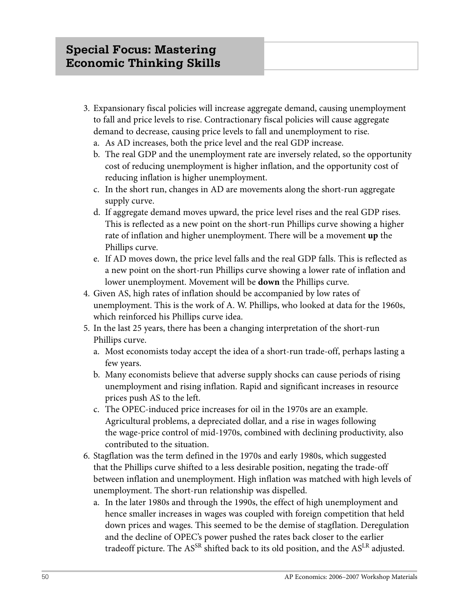- 3. Expansionary fiscal policies will increase aggregate demand, causing unemployment to fall and price levels to rise. Contractionary fiscal policies will cause aggregate demand to decrease, causing price levels to fall and unemployment to rise.
	- a. As AD increases, both the price level and the real GDP increase.
	- b. The real GDP and the unemployment rate are inversely related, so the opportunity cost of reducing unemployment is higher inflation, and the opportunity cost of reducing inflation is higher unemployment.
	- c. In the short run, changes in AD are movements along the short-run aggregate supply curve.
	- d. If aggregate demand moves upward, the price level rises and the real GDP rises. This is reflected as a new point on the short-run Phillips curve showing a higher rate of inflation and higher unemployment. There will be a movement **up** the Phillips curve.
	- e. If AD moves down, the price level falls and the real GDP falls. This is reflected as a new point on the short-run Phillips curve showing a lower rate of inflation and lower unemployment. Movement will be **down** the Phillips curve.
- 4. Given AS, high rates of inflation should be accompanied by low rates of unemployment. This is the work of A. W. Phillips, who looked at data for the 1960s, which reinforced his Phillips curve idea.
- 5. In the last 25 years, there has been a changing interpretation of the short-run Phillips curve.
	- a. Most economists today accept the idea of a short-run trade-off, perhaps lasting a few years.
	- b. Many economists believe that adverse supply shocks can cause periods of rising unemployment and rising inflation. Rapid and significant increases in resource prices push AS to the left.
	- c. The OPEC-induced price increases for oil in the 1970s are an example. Agricultural problems, a depreciated dollar, and a rise in wages following the wage-price control of mid-1970s, combined with declining productivity, also contributed to the situation.
- 6. Stagflation was the term defined in the 1970s and early 1980s, which suggested that the Phillips curve shifted to a less desirable position, negating the trade-off between inflation and unemployment. High inflation was matched with high levels of unemployment. The short-run relationship was dispelled.
	- a. In the later 1980s and through the 1990s, the effect of high unemployment and hence smaller increases in wages was coupled with foreign competition that held down prices and wages. This seemed to be the demise of stagflation. Deregulation and the decline of OPEC's power pushed the rates back closer to the earlier tradeoff picture. The AS<sup>SR</sup> shifted back to its old position, and the AS<sup>LR</sup> adjusted.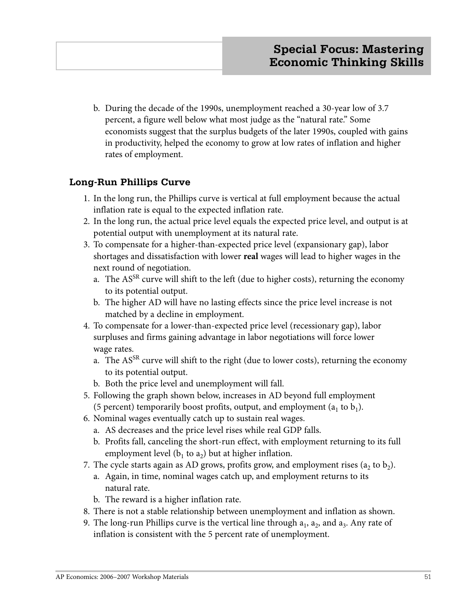b. During the decade of the 1990s, unemployment reached a 30-year low of 3.7 percent, a figure well below what most judge as the "natural rate." Some economists suggest that the surplus budgets of the later 1990s, coupled with gains in productivity, helped the economy to grow at low rates of inflation and higher rates of employment.

## **Long-Run Phillips Curve**

- 1. In the long run, the Phillips curve is vertical at full employment because the actual inflation rate is equal to the expected inflation rate.
- 2. In the long run, the actual price level equals the expected price level, and output is at potential output with unemployment at its natural rate.
- 3. To compensate for a higher-than-expected price level (expansionary gap), labor shortages and dissatisfaction with lower **real** wages will lead to higher wages in the next round of negotiation.
	- a. The AS<sup>SR</sup> curve will shift to the left (due to higher costs), returning the economy to its potential output.
	- b. The higher AD will have no lasting effects since the price level increase is not matched by a decline in employment.
- 4. To compensate for a lower-than-expected price level (recessionary gap), labor surpluses and firms gaining advantage in labor negotiations will force lower wage rates.
	- a. The AS<sup>SR</sup> curve will shift to the right (due to lower costs), returning the economy to its potential output.
	- b. Both the price level and unemployment will fall.
- 5. Following the graph shown below, increases in AD beyond full employment (5 percent) temporarily boost profits, output, and employment  $(a_1 \text{ to } b_1)$ .
- 6. Nominal wages eventually catch up to sustain real wages.
	- a. AS decreases and the price level rises while real GDP falls.
	- b. Profits fall, canceling the short-run effect, with employment returning to its full employment level ( $b_1$  to  $a_2$ ) but at higher inflation.
- 7. The cycle starts again as AD grows, profits grow, and employment rises  $(a_2 \text{ to } b_2)$ .
	- a. Again, in time, nominal wages catch up, and employment returns to its natural rate.
	- b. The reward is a higher inflation rate.
- 8. There is not a stable relationship between unemployment and inflation as shown.
- 9. The long-run Phillips curve is the vertical line through  $a_1$ ,  $a_2$ , and  $a_3$ . Any rate of inflation is consistent with the 5 percent rate of unemployment.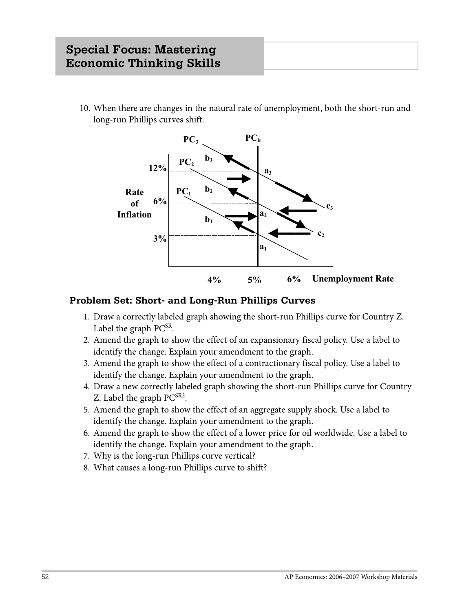10. When there are changes in the natural rate of unemployment, both the short-run and long-run Phillips curves shift.



## **Problem Set: Short- and Long-Run Phillips Curves**

- 1. Draw a correctly labeled graph showing the short-run Phillips curve for Country Z. Label the graph  $PC^{SR}$ .
- 2. Amend the graph to show the effect of an expansionary fiscal policy. Use a label to identify the change. Explain your amendment to the graph.
- 3. Amend the graph to show the effect of a contractionary fiscal policy. Use a label to identify the change. Explain your amendment to the graph.
- 4. Draw a new correctly labeled graph showing the short-run Phillips curve for Country Z. Label the graph  $PC^{SR2}$ .
- 5. Amend the graph to show the effect of an aggregate supply shock. Use a label to identify the change. Explain your amendment to the graph.
- 6. Amend the graph to show the effect of a lower price for oil worldwide. Use a label to identify the change. Explain your amendment to the graph.
- 7. Why is the long-run Phillips curve vertical?
- 8. What causes a long-run Phillips curve to shift?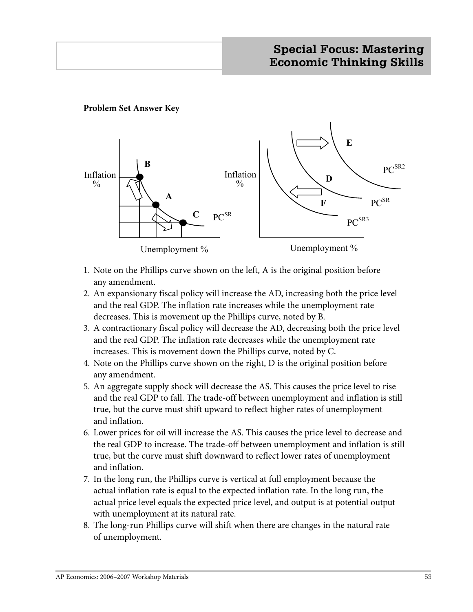## **Problem Set Answer Key**



- 1. Note on the Phillips curve shown on the left, A is the original position before any amendment.
- 2. An expansionary fiscal policy will increase the AD, increasing both the price level and the real GDP. The inflation rate increases while the unemployment rate decreases. This is movement up the Phillips curve, noted by B.
- 3. A contractionary fiscal policy will decrease the AD, decreasing both the price level and the real GDP. The inflation rate decreases while the unemployment rate increases. This is movement down the Phillips curve, noted by C.
- 4. Note on the Phillips curve shown on the right, D is the original position before any amendment.
- 5. An aggregate supply shock will decrease the AS. This causes the price level to rise and the real GDP to fall. The trade-off between unemployment and inflation is still true, but the curve must shift upward to reflect higher rates of unemployment and inflation.
- 6. Lower prices for oil will increase the AS. This causes the price level to decrease and the real GDP to increase. The trade-off between unemployment and inflation is still true, but the curve must shift downward to reflect lower rates of unemployment and inflation.
- 7. In the long run, the Phillips curve is vertical at full employment because the actual inflation rate is equal to the expected inflation rate. In the long run, the actual price level equals the expected price level, and output is at potential output with unemployment at its natural rate.
- 8. The long-run Phillips curve will shift when there are changes in the natural rate of unemployment.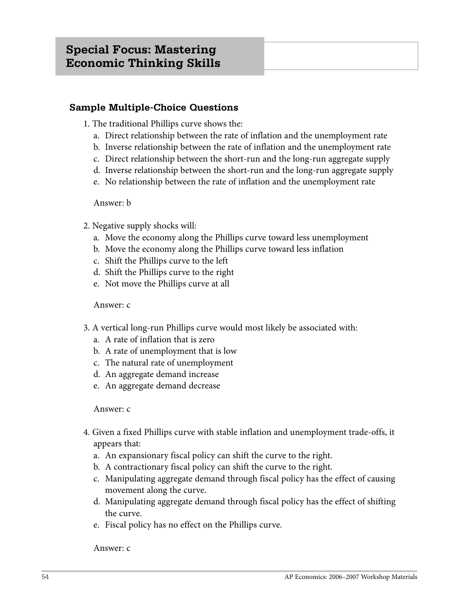## **Sample Multiple-Choice Questions**

- 1. The traditional Phillips curve shows the:
	- a. Direct relationship between the rate of inflation and the unemployment rate
	- b. Inverse relationship between the rate of inflation and the unemployment rate
	- c. Direct relationship between the short-run and the long-run aggregate supply
	- d. Inverse relationship between the short-run and the long-run aggregate supply
	- e. No relationship between the rate of inflation and the unemployment rate

#### Answer: b

- 2. Negative supply shocks will:
	- a. Move the economy along the Phillips curve toward less unemployment
	- b. Move the economy along the Phillips curve toward less inflation
	- c. Shift the Phillips curve to the left
	- d. Shift the Phillips curve to the right
	- e. Not move the Phillips curve at all

#### Answer: c

- 3. A vertical long-run Phillips curve would most likely be associated with:
	- a. A rate of inflation that is zero
	- b. A rate of unemployment that is low
	- c. The natural rate of unemployment
	- d. An aggregate demand increase
	- e. An aggregate demand decrease

## Answer: c

- 4. Given a fixed Phillips curve with stable inflation and unemployment trade-offs, it appears that:
	- a. An expansionary fiscal policy can shift the curve to the right.
	- b. A contractionary fiscal policy can shift the curve to the right.
	- c. Manipulating aggregate demand through fiscal policy has the effect of causing movement along the curve.
	- d. Manipulating aggregate demand through fiscal policy has the effect of shifting the curve.
	- e. Fiscal policy has no effect on the Phillips curve.

#### Answer: c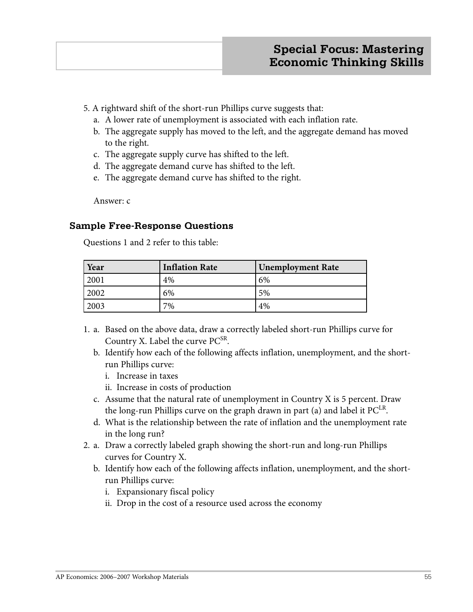- 5. A rightward shift of the short-run Phillips curve suggests that:
	- a. A lower rate of unemployment is associated with each inflation rate.
	- b. The aggregate supply has moved to the left, and the aggregate demand has moved to the right.
	- c. The aggregate supply curve has shifted to the left.
	- d. The aggregate demand curve has shifted to the left.
	- e. The aggregate demand curve has shifted to the right.

Answer: c

## **Sample Free-Response Questions**

Questions 1 and 2 refer to this table:

| Year | <b>Inflation Rate</b> | <b>Unemployment Rate</b> |
|------|-----------------------|--------------------------|
| 2001 | 4%                    | 6%                       |
| 2002 | 6%                    | 5%                       |
| 2003 | 7%                    | 4%                       |

- 1. a. Based on the above data, draw a correctly labeled short-run Phillips curve for Country X. Label the curve PC<sup>SR</sup>.
	- b. Identify how each of the following affects inflation, unemployment, and the short run Phillips curve:
		- i. Increase in taxes
		- ii. Increase in costs of production
	- c. Assume that the natural rate of unemployment in Country X is 5 percent. Draw the long-run Phillips curve on the graph drawn in part (a) and label it  $PC<sup>LR</sup>$ .
	- d. What is the relationship between the rate of inflation and the unemployment rate in the long run?
- 2. a. Draw a correctly labeled graph showing the short-run and long-run Phillips curves for Country X.
	- b. Identify how each of the following affects inflation, unemployment, and the short run Phillips curve:
		- i. Expansionary fiscal policy
		- ii. Drop in the cost of a resource used across the economy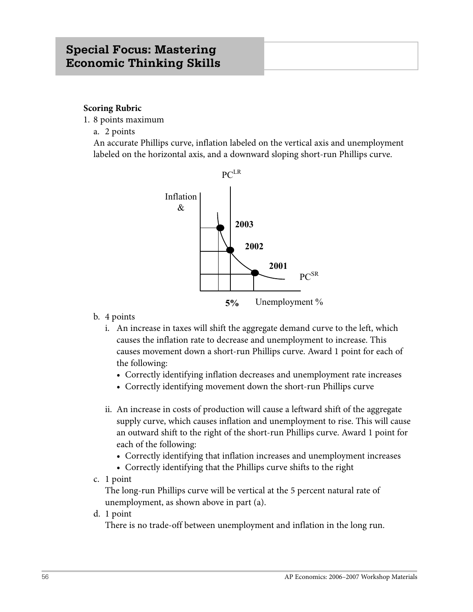#### **Scoring Rubric**

- 1. 8 points maximum
	- a. 2 points

 An accurate Phillips curve, inflation labeled on the vertical axis and unemployment labeled on the horizontal axis, and a downward sloping short-run Phillips curve.



- b. 4 points
	- i. An increase in taxes will shift the aggregate demand curve to the left, which causes the inflation rate to decrease and unemployment to increase. This causes movement down a short-run Phillips curve. Award 1 point for each of the following:
		- **•** Correctly identifying inflation decreases and unemployment rate increases
		- **•** Correctly identifying movement down the short-run Phillips curve
	- ii. An increase in costs of production will cause a leftward shift of the aggregate supply curve, which causes inflation and unemployment to rise. This will cause an outward shift to the right of the short-run Phillips curve. Award 1 point for each of the following:
		- **•** Correctly identifying that inflation increases and unemployment increases
		- **•** Correctly identifying that the Phillips curve shifts to the right
- c. 1 point

 The long-run Phillips curve will be vertical at the 5 percent natural rate of unemployment, as shown above in part (a).

d. 1 point

There is no trade-off between unemployment and inflation in the long run.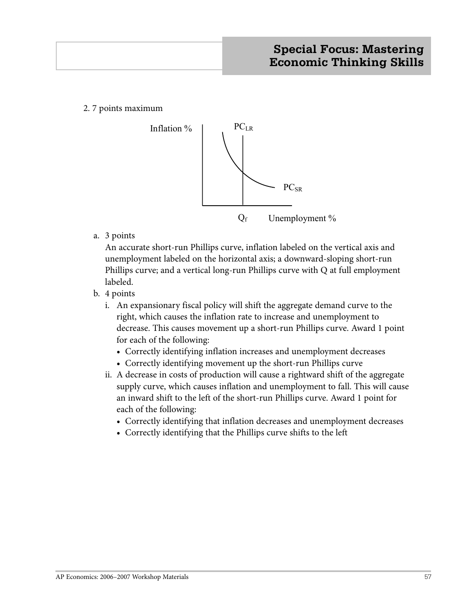2. 7 points maximum



a. 3 points

 An accurate short-run Phillips curve, inflation labeled on the vertical axis and unemployment labeled on the horizontal axis; a downward-sloping short-run Phillips curve; and a vertical long-run Phillips curve with Q at full employment labeled.

- b. 4 points
	- i. An expansionary fiscal policy will shift the aggregate demand curve to the right, which causes the inflation rate to increase and unemployment to decrease. This causes movement up a short-run Phillips curve. Award 1 point for each of the following:
		- **•** Correctly identifying inflation increases and unemployment decreases
		- **•** Correctly identifying movement up the short-run Phillips curve
	- ii. A decrease in costs of production will cause a rightward shift of the aggregate supply curve, which causes inflation and unemployment to fall. This will cause an inward shift to the left of the short-run Phillips curve. Award 1 point for each of the following:
		- **•** Correctly identifying that inflation decreases and unemployment decreases
		- **•** Correctly identifying that the Phillips curve shifts to the left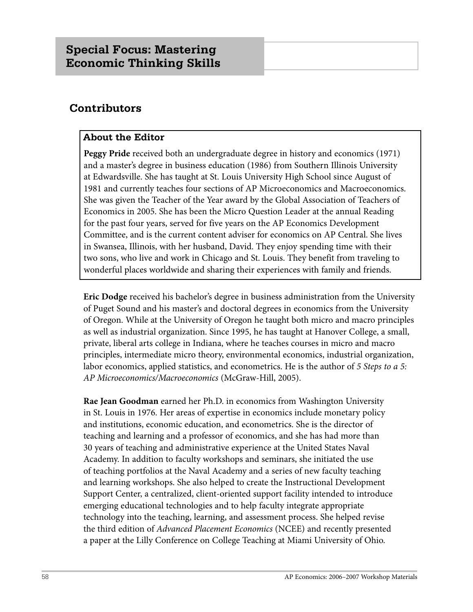# **Contributors**

## **About the Editor**

**Peggy Pride** received both an undergraduate degree in history and economics (1971) and a master's degree in business education (1986) from Southern Illinois University at Edwardsville. She has taught at St. Louis University High School since August of 1981 and currently teaches four sections of AP Microeconomics and Macroeconomics. She was given the Teacher of the Year award by the Global Association of Teachers of Economics in 2005. She has been the Micro Question Leader at the annual Reading for the past four years, served for five years on the AP Economics Development Committee, and is the current content adviser for economics on AP Central. She lives in Swansea, Illinois, with her husband, David. They enjoy spending time with their two sons, who live and work in Chicago and St. Louis. They benefit from traveling to wonderful places worldwide and sharing their experiences with family and friends.

**Eric Dodge** received his bachelor's degree in business administration from the University of Puget Sound and his master's and doctoral degrees in economics from the University of Oregon. While at the University of Oregon he taught both micro and macro principles as well as industrial organization. Since 1995, he has taught at Hanover College, a small, private, liberal arts college in Indiana, where he teaches courses in micro and macro principles, intermediate micro theory, environmental economics, industrial organization, labor economics, applied statistics, and econometrics. He is the author of *5 Steps to a 5: AP Microeconomics/Macroeconomics* (McGraw-Hill, 2005).

**Rae Jean Goodman** earned her Ph.D. in economics from Washington University in St. Louis in 1976. Her areas of expertise in economics include monetary policy and institutions, economic education, and econometrics. She is the director of teaching and learning and a professor of economics, and she has had more than 30 years of teaching and administrative experience at the United States Naval Academy. In addition to faculty workshops and seminars, she initiated the use of teaching portfolios at the Naval Academy and a series of new faculty teaching and learning workshops. She also helped to create the Instructional Development Support Center, a centralized, client-oriented support facility intended to introduce emerging educational technologies and to help faculty integrate appropriate technology into the teaching, learning, and assessment process. She helped revise the third edition of *Advanced Placement Economics* (NCEE) and recently presented a paper at the Lilly Conference on College Teaching at Miami University of Ohio.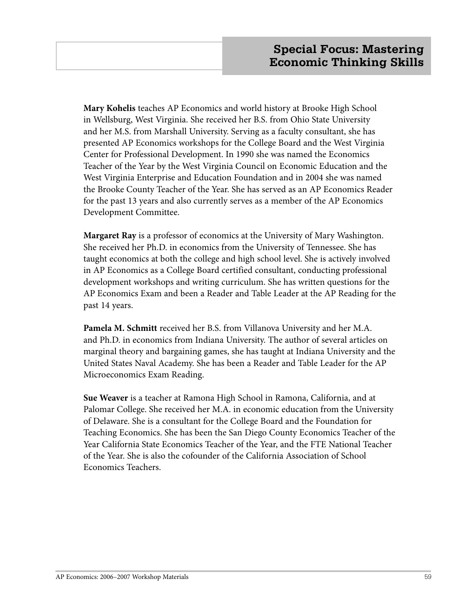**Mary Kohelis** teaches AP Economics and world history at Brooke High School in Wellsburg, West Virginia. She received her B.S. from Ohio State University and her M.S. from Marshall University. Serving as a faculty consultant, she has presented AP Economics workshops for the College Board and the West Virginia Center for Professional Development. In 1990 she was named the Economics Teacher of the Year by the West Virginia Council on Economic Education and the West Virginia Enterprise and Education Foundation and in 2004 she was named the Brooke County Teacher of the Year. She has served as an AP Economics Reader for the past 13 years and also currently serves as a member of the AP Economics Development Committee.

**Margaret Ray** is a professor of economics at the University of Mary Washington. She received her Ph.D. in economics from the University of Tennessee. She has taught economics at both the college and high school level. She is actively involved in AP Economics as a College Board certified consultant, conducting professional development workshops and writing curriculum. She has written questions for the AP Economics Exam and been a Reader and Table Leader at the AP Reading for the past 14 years.

**Pamela M. Schmitt** received her B.S. from Villanova University and her M.A. and Ph.D. in economics from Indiana University. The author of several articles on marginal theory and bargaining games, she has taught at Indiana University and the United States Naval Academy. She has been a Reader and Table Leader for the AP Microeconomics Exam Reading.

**Sue Weaver** is a teacher at Ramona High School in Ramona, California, and at Palomar College. She received her M.A. in economic education from the University of Delaware. She is a consultant for the College Board and the Foundation for Teaching Economics. She has been the San Diego County Economics Teacher of the Year California State Economics Teacher of the Year, and the FTE National Teacher of the Year. She is also the cofounder of the California Association of School Economics Teachers.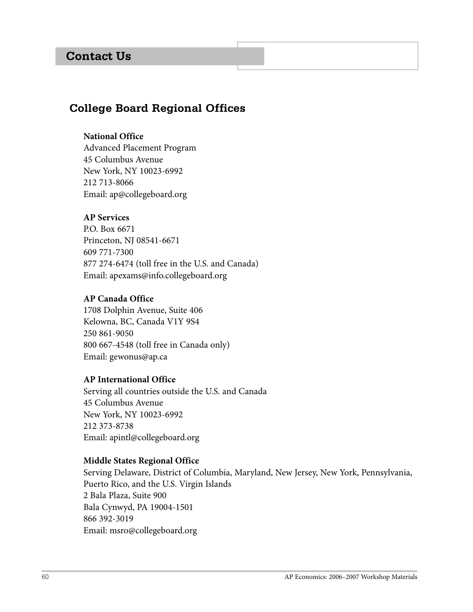# **Contact Us**

# **College Board Regional Offices**

#### **National Office**

Advanced Placement Program 45 Columbus Avenue New York, NY 10023-6992 212 713-8066 Email: ap@collegeboard.org

## **AP Services**

P.O. Box 6671 Princeton, NJ 08541-6671 609 771-7300 877 274-6474 (toll free in the U.S. and Canada) Email: apexams@info.collegeboard.org

#### **AP Canada Office**

1708 Dolphin Avenue, Suite 406 Kelowna, BC, Canada V1Y 9S4 250 861-9050 800 667-4548 (toll free in Canada only) Email: gewonus@ap.ca

#### **AP International Office**

Serving all countries outside the U.S. and Canada 45 Columbus Avenue New York, NY 10023-6992 212 373-8738 Email: apintl@collegeboard.org

#### **Middle States Regional Office**

Serving Delaware, District of Columbia, Maryland, New Jersey, New York, Pennsylvania, Puerto Rico, and the U.S. Virgin Islands 2 Bala Plaza, Suite 900 Bala Cynwyd, PA 19004-1501 866 392-3019 Email: msro@collegeboard.org